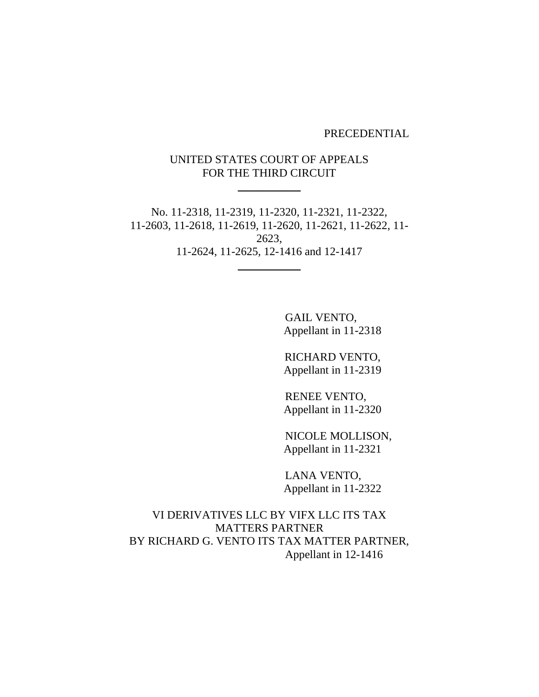PRECEDENTIAL

# UNITED STATES COURT OF APPEALS FOR THE THIRD CIRCUIT

 $\overline{\phantom{a}}$  , where  $\overline{\phantom{a}}$ 

No. 11-2318, 11-2319, 11-2320, 11-2321, 11-2322, 11-2603, 11-2618, 11-2619, 11-2620, 11-2621, 11-2622, 11- 2623, 11-2624, 11-2625, 12-1416 and 12-1417  $\overline{\phantom{a}}$ 

> GAIL VENTO, Appellant in 11-2318

> RICHARD VENTO, Appellant in 11-2319

> RENEE VENTO, Appellant in 11-2320

NICOLE MOLLISON, Appellant in 11-2321

LANA VENTO, Appellant in 11-2322

VI DERIVATIVES LLC BY VIFX LLC ITS TAX MATTERS PARTNER BY RICHARD G. VENTO ITS TAX MATTER PARTNER, Appellant in 12-1416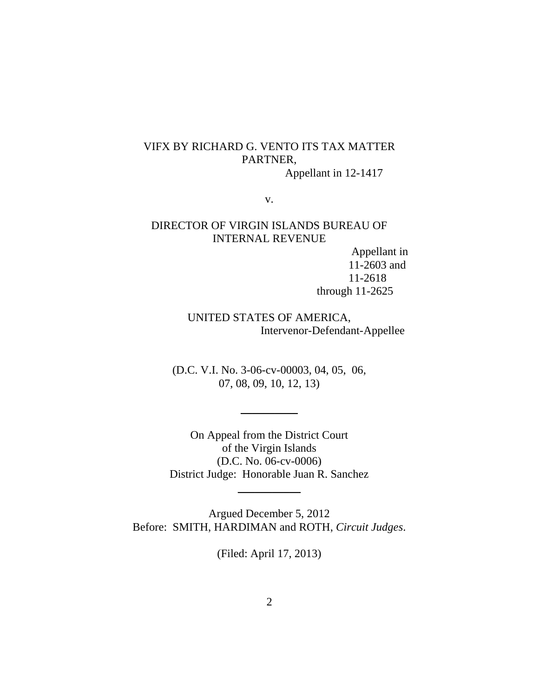# VIFX BY RICHARD G. VENTO ITS TAX MATTER PARTNER,

Appellant in 12-1417

v.

## DIRECTOR OF VIRGIN ISLANDS BUREAU OF INTERNAL REVENUE

Appellant in 11-2603 and 11-2618 through 11-2625

UNITED STATES OF AMERICA, Intervenor-Defendant-Appellee

(D.C. V.I. No. 3-06-cv-00003, 04, 05, 06, 07, 08, 09, 10, 12, 13)

 $\overline{\phantom{a}}$ 

On Appeal from the District Court of the Virgin Islands (D.C. No. 06-cv-0006) District Judge: Honorable Juan R. Sanchez

 $\overline{\phantom{a}}$ 

Argued December 5, 2012 Before: SMITH, HARDIMAN and ROTH, *Circuit Judges*.

(Filed: April 17, 2013)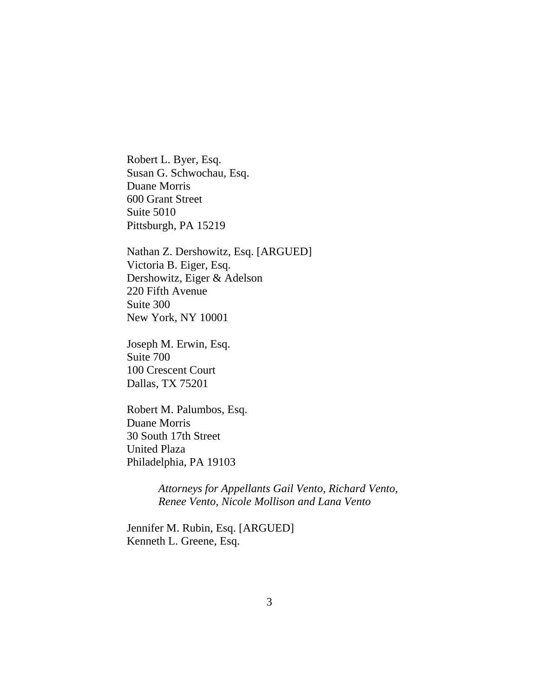Robert L. Byer, Esq. Susan G. Schwochau, Esq. Duane Morris 600 Grant Street Suite 5010 Pittsburgh, PA 15219

Nathan Z. Dershowitz, Esq. [ARGUED] Victoria B. Eiger, Esq. Dershowitz, Eiger & Adelson 220 Fifth Avenue Suite 300 New York, NY 10001

Joseph M. Erwin, Esq. Suite 700 100 Crescent Court Dallas, TX 75201

Robert M. Palumbos, Esq. Duane Morris 30 South 17th Street United Plaza Philadelphia, PA 19103

> *Attorneys for Appellants Gail Vento, Richard Vento, Renee Vento, Nicole Mollison and Lana Vento*

Jennifer M. Rubin, Esq. [ARGUED] Kenneth L. Greene, Esq.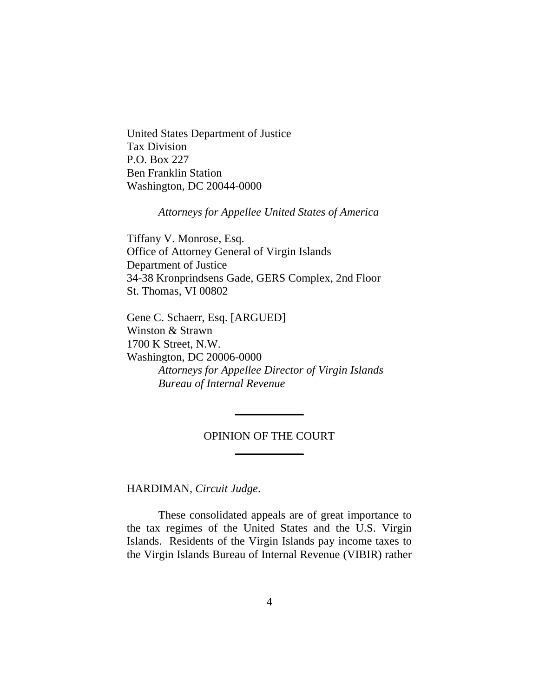United States Department of Justice Tax Division P.O. Box 227 Ben Franklin Station Washington, DC 20044-0000

*Attorneys for Appellee United States of America*

Tiffany V. Monrose, Esq. Office of Attorney General of Virgin Islands Department of Justice 34-38 Kronprindsens Gade, GERS Complex, 2nd Floor St. Thomas, VI 00802

Gene C. Schaerr, Esq. [ARGUED] Winston & Strawn 1700 K Street, N.W. Washington, DC 20006-0000 *Attorneys for Appellee Director of Virgin Islands Bureau of Internal Revenue*

# OPINION OF THE COURT  $\overline{\phantom{a}}$

 $\frac{1}{2}$ 

HARDIMAN, *Circuit Judge*.

These consolidated appeals are of great importance to the tax regimes of the United States and the U.S. Virgin Islands. Residents of the Virgin Islands pay income taxes to the Virgin Islands Bureau of Internal Revenue (VIBIR) rather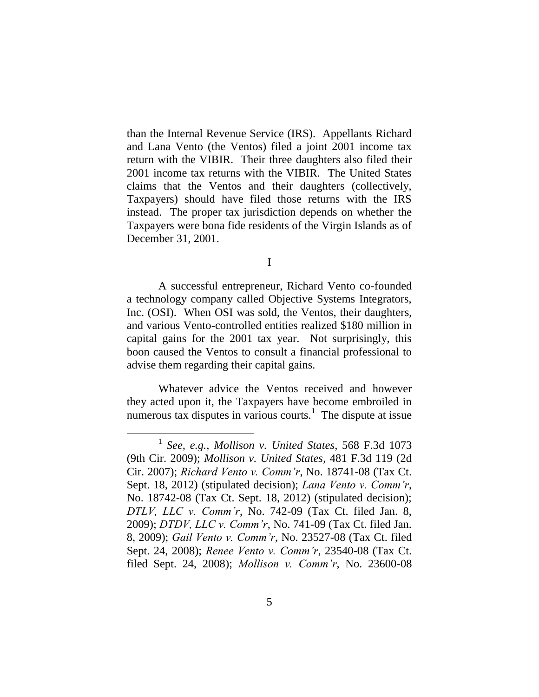than the Internal Revenue Service (IRS). Appellants Richard and Lana Vento (the Ventos) filed a joint 2001 income tax return with the VIBIR. Their three daughters also filed their 2001 income tax returns with the VIBIR. The United States claims that the Ventos and their daughters (collectively, Taxpayers) should have filed those returns with the IRS instead. The proper tax jurisdiction depends on whether the Taxpayers were bona fide residents of the Virgin Islands as of December 31, 2001.

I

A successful entrepreneur, Richard Vento co-founded a technology company called Objective Systems Integrators, Inc. (OSI). When OSI was sold, the Ventos, their daughters, and various Vento-controlled entities realized \$180 million in capital gains for the 2001 tax year. Not surprisingly, this boon caused the Ventos to consult a financial professional to advise them regarding their capital gains.

Whatever advice the Ventos received and however they acted upon it, the Taxpayers have become embroiled in numerous tax disputes in various courts.<sup>1</sup> The dispute at issue

<sup>1</sup> *See, e.g.*, *Mollison v. United States*, 568 F.3d 1073 (9th Cir. 2009); *Mollison v. United States*, 481 F.3d 119 (2d Cir. 2007); *Richard Vento v. Comm'r*, No. 18741-08 (Tax Ct. Sept. 18, 2012) (stipulated decision); *Lana Vento v. Comm'r*, No. 18742-08 (Tax Ct. Sept. 18, 2012) (stipulated decision); *DTLV, LLC v. Comm'r*, No. 742-09 (Tax Ct. filed Jan. 8, 2009); *DTDV, LLC v. Comm'r*, No. 741-09 (Tax Ct. filed Jan. 8, 2009); *Gail Vento v. Comm'r*, No. 23527-08 (Tax Ct. filed Sept. 24, 2008); *Renee Vento v. Comm'r*, 23540-08 (Tax Ct. filed Sept. 24, 2008); *Mollison v. Comm'r*, No. 23600-08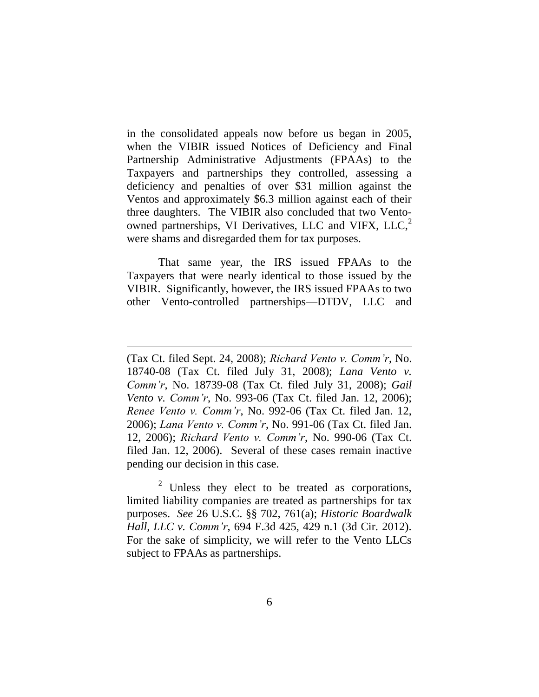in the consolidated appeals now before us began in 2005, when the VIBIR issued Notices of Deficiency and Final Partnership Administrative Adjustments (FPAAs) to the Taxpayers and partnerships they controlled, assessing a deficiency and penalties of over \$31 million against the Ventos and approximately \$6.3 million against each of their three daughters. The VIBIR also concluded that two Ventoowned partnerships, VI Derivatives, LLC and VIFX, LLC,<sup>2</sup> were shams and disregarded them for tax purposes.

That same year, the IRS issued FPAAs to the Taxpayers that were nearly identical to those issued by the VIBIR. Significantly, however, the IRS issued FPAAs to two other Vento-controlled partnerships—DTDV, LLC and

 $\overline{a}$ 

 $2$  Unless they elect to be treated as corporations, limited liability companies are treated as partnerships for tax purposes. *See* 26 U.S.C. §§ 702, 761(a); *Historic Boardwalk Hall, LLC v. Comm'r*, 694 F.3d 425, 429 n.1 (3d Cir. 2012). For the sake of simplicity, we will refer to the Vento LLCs subject to FPAAs as partnerships.

<sup>(</sup>Tax Ct. filed Sept. 24, 2008); *Richard Vento v. Comm'r*, No. 18740-08 (Tax Ct. filed July 31, 2008); *Lana Vento v. Comm'r*, No. 18739-08 (Tax Ct. filed July 31, 2008); *Gail Vento v. Comm'r*, No. 993-06 (Tax Ct. filed Jan. 12, 2006); *Renee Vento v. Comm'r*, No. 992-06 (Tax Ct. filed Jan. 12, 2006); *Lana Vento v. Comm'r*, No. 991-06 (Tax Ct. filed Jan. 12, 2006); *Richard Vento v. Comm'r*, No. 990-06 (Tax Ct. filed Jan. 12, 2006). Several of these cases remain inactive pending our decision in this case.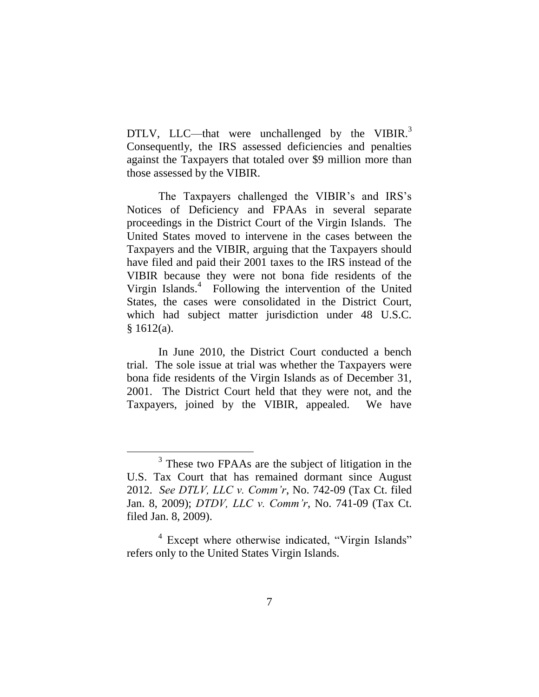DTLV, LLC—that were unchallenged by the VIBIR. $3$ Consequently, the IRS assessed deficiencies and penalties against the Taxpayers that totaled over \$9 million more than those assessed by the VIBIR.

The Taxpayers challenged the VIBIR's and IRS's Notices of Deficiency and FPAAs in several separate proceedings in the District Court of the Virgin Islands. The United States moved to intervene in the cases between the Taxpayers and the VIBIR, arguing that the Taxpayers should have filed and paid their 2001 taxes to the IRS instead of the VIBIR because they were not bona fide residents of the Virgin Islands.<sup>4</sup> Following the intervention of the United States, the cases were consolidated in the District Court, which had subject matter jurisdiction under 48 U.S.C.  $§ 1612(a).$ 

In June 2010, the District Court conducted a bench trial. The sole issue at trial was whether the Taxpayers were bona fide residents of the Virgin Islands as of December 31, 2001.The District Court held that they were not, and the Taxpayers, joined by the VIBIR, appealed. We have

<sup>&</sup>lt;sup>3</sup> These two FPAAs are the subject of litigation in the U.S. Tax Court that has remained dormant since August 2012. *See DTLV, LLC v. Comm'r*, No. 742-09 (Tax Ct. filed Jan. 8, 2009); *DTDV, LLC v. Comm'r*, No. 741-09 (Tax Ct. filed Jan. 8, 2009).

<sup>&</sup>lt;sup>4</sup> Except where otherwise indicated, "Virgin Islands" refers only to the United States Virgin Islands.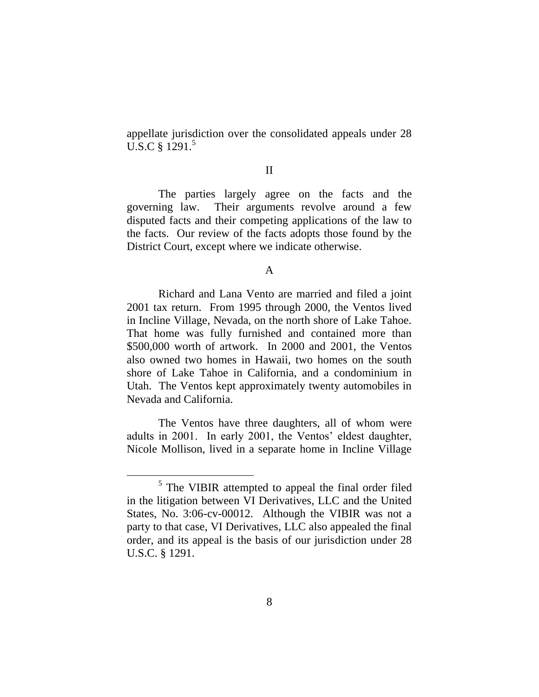appellate jurisdiction over the consolidated appeals under 28 U.S.C § 1291.<sup>5</sup>

### II

The parties largely agree on the facts and the governing law. Their arguments revolve around a few disputed facts and their competing applications of the law to the facts. Our review of the facts adopts those found by the District Court, except where we indicate otherwise.

#### A

Richard and Lana Vento are married and filed a joint 2001 tax return. From 1995 through 2000, the Ventos lived in Incline Village, Nevada, on the north shore of Lake Tahoe. That home was fully furnished and contained more than \$500,000 worth of artwork. In 2000 and 2001, the Ventos also owned two homes in Hawaii, two homes on the south shore of Lake Tahoe in California, and a condominium in Utah. The Ventos kept approximately twenty automobiles in Nevada and California.

The Ventos have three daughters, all of whom were adults in 2001. In early 2001, the Ventos' eldest daughter, Nicole Mollison, lived in a separate home in Incline Village

<sup>&</sup>lt;sup>5</sup> The VIBIR attempted to appeal the final order filed in the litigation between VI Derivatives, LLC and the United States, No. 3:06-cv-00012. Although the VIBIR was not a party to that case, VI Derivatives, LLC also appealed the final order, and its appeal is the basis of our jurisdiction under 28 U.S.C. § 1291.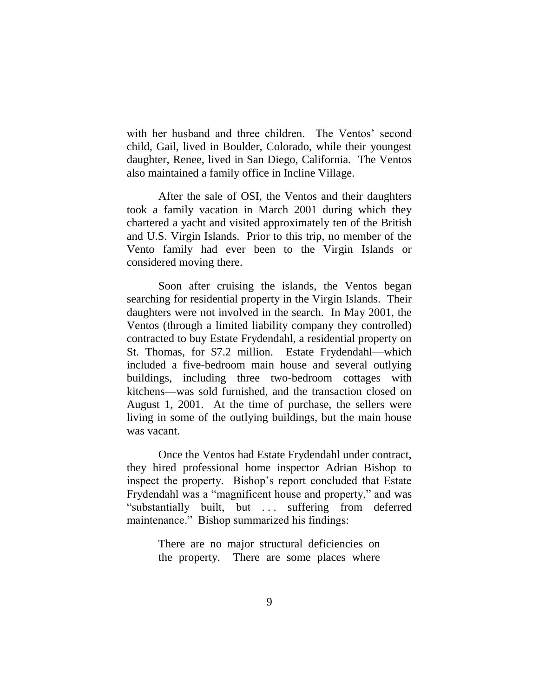with her husband and three children. The Ventos' second child, Gail, lived in Boulder, Colorado, while their youngest daughter, Renee, lived in San Diego, California. The Ventos also maintained a family office in Incline Village.

After the sale of OSI, the Ventos and their daughters took a family vacation in March 2001 during which they chartered a yacht and visited approximately ten of the British and U.S. Virgin Islands. Prior to this trip, no member of the Vento family had ever been to the Virgin Islands or considered moving there.

Soon after cruising the islands, the Ventos began searching for residential property in the Virgin Islands. Their daughters were not involved in the search. In May 2001, the Ventos (through a limited liability company they controlled) contracted to buy Estate Frydendahl, a residential property on St. Thomas, for \$7.2 million. Estate Frydendahl—which included a five-bedroom main house and several outlying buildings, including three two-bedroom cottages with kitchens—was sold furnished, and the transaction closed on August 1, 2001. At the time of purchase, the sellers were living in some of the outlying buildings, but the main house was vacant.

Once the Ventos had Estate Frydendahl under contract, they hired professional home inspector Adrian Bishop to inspect the property. Bishop's report concluded that Estate Frydendahl was a "magnificent house and property," and was ―substantially built, but . . . suffering from deferred maintenance." Bishop summarized his findings:

> There are no major structural deficiencies on the property. There are some places where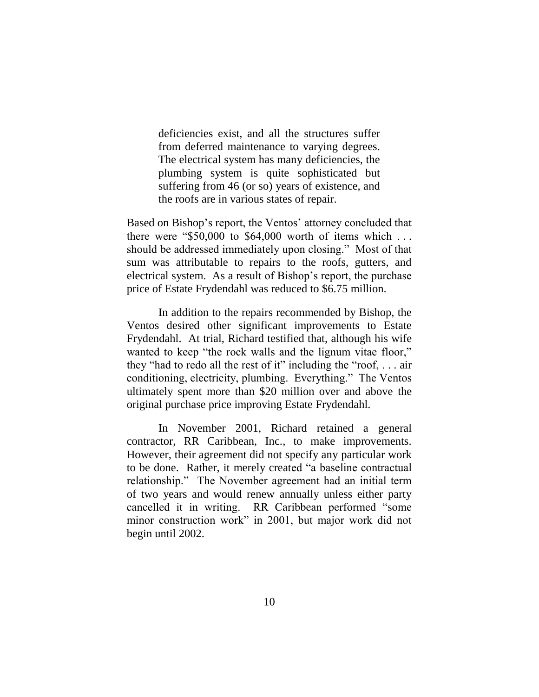deficiencies exist, and all the structures suffer from deferred maintenance to varying degrees. The electrical system has many deficiencies, the plumbing system is quite sophisticated but suffering from 46 (or so) years of existence, and the roofs are in various states of repair.

Based on Bishop's report, the Ventos' attorney concluded that there were " $$50,000$  to  $$64,000$  worth of items which ... should be addressed immediately upon closing." Most of that sum was attributable to repairs to the roofs, gutters, and electrical system. As a result of Bishop's report, the purchase price of Estate Frydendahl was reduced to \$6.75 million.

In addition to the repairs recommended by Bishop, the Ventos desired other significant improvements to Estate Frydendahl. At trial, Richard testified that, although his wife wanted to keep "the rock walls and the lignum vitae floor," they "had to redo all the rest of it" including the "roof,  $\dots$  air conditioning, electricity, plumbing. Everything." The Ventos ultimately spent more than \$20 million over and above the original purchase price improving Estate Frydendahl.

In November 2001, Richard retained a general contractor, RR Caribbean, Inc., to make improvements. However, their agreement did not specify any particular work to be done. Rather, it merely created "a baseline contractual relationship." The November agreement had an initial term of two years and would renew annually unless either party cancelled it in writing. RR Caribbean performed "some minor construction work" in 2001, but major work did not begin until 2002.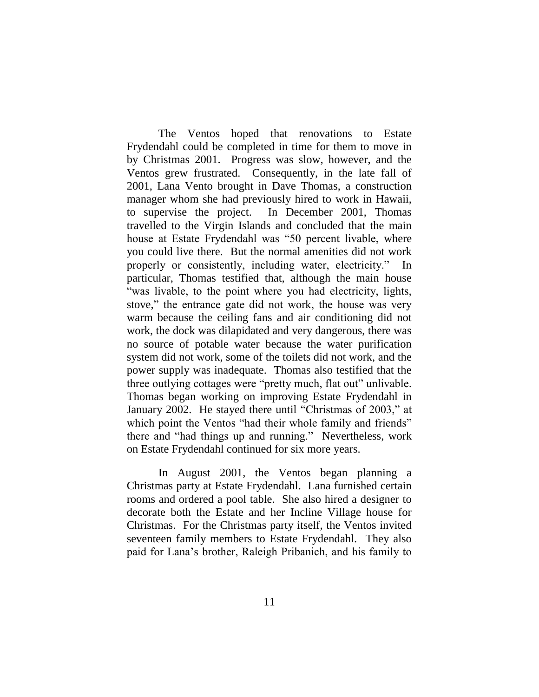The Ventos hoped that renovations to Estate Frydendahl could be completed in time for them to move in by Christmas 2001. Progress was slow, however, and the Ventos grew frustrated. Consequently, in the late fall of 2001, Lana Vento brought in Dave Thomas, a construction manager whom she had previously hired to work in Hawaii, to supervise the project. In December 2001, Thomas travelled to the Virgin Islands and concluded that the main house at Estate Frydendahl was "50 percent livable, where you could live there. But the normal amenities did not work properly or consistently, including water, electricity." In particular, Thomas testified that, although the main house "was livable, to the point where you had electricity, lights, stove," the entrance gate did not work, the house was very warm because the ceiling fans and air conditioning did not work, the dock was dilapidated and very dangerous, there was no source of potable water because the water purification system did not work, some of the toilets did not work, and the power supply was inadequate. Thomas also testified that the three outlying cottages were "pretty much, flat out" unlivable. Thomas began working on improving Estate Frydendahl in January 2002. He stayed there until "Christmas of 2003," at which point the Ventos "had their whole family and friends" there and "had things up and running." Nevertheless, work on Estate Frydendahl continued for six more years.

In August 2001, the Ventos began planning a Christmas party at Estate Frydendahl. Lana furnished certain rooms and ordered a pool table. She also hired a designer to decorate both the Estate and her Incline Village house for Christmas. For the Christmas party itself, the Ventos invited seventeen family members to Estate Frydendahl. They also paid for Lana's brother, Raleigh Pribanich, and his family to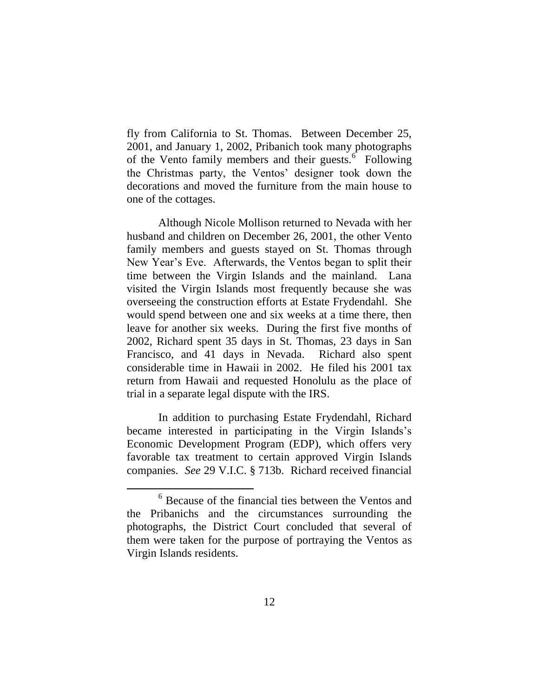fly from California to St. Thomas. Between December 25, 2001, and January 1, 2002, Pribanich took many photographs of the Vento family members and their guests. $6$  Following the Christmas party, the Ventos' designer took down the decorations and moved the furniture from the main house to one of the cottages.

Although Nicole Mollison returned to Nevada with her husband and children on December 26, 2001, the other Vento family members and guests stayed on St. Thomas through New Year's Eve. Afterwards, the Ventos began to split their time between the Virgin Islands and the mainland. Lana visited the Virgin Islands most frequently because she was overseeing the construction efforts at Estate Frydendahl. She would spend between one and six weeks at a time there, then leave for another six weeks. During the first five months of 2002, Richard spent 35 days in St. Thomas, 23 days in San Francisco, and 41 days in Nevada. Richard also spent considerable time in Hawaii in 2002. He filed his 2001 tax return from Hawaii and requested Honolulu as the place of trial in a separate legal dispute with the IRS.

In addition to purchasing Estate Frydendahl, Richard became interested in participating in the Virgin Islands's Economic Development Program (EDP), which offers very favorable tax treatment to certain approved Virgin Islands companies. *See* 29 V.I.C. § 713b. Richard received financial

<sup>6</sup> Because of the financial ties between the Ventos and the Pribanichs and the circumstances surrounding the photographs, the District Court concluded that several of them were taken for the purpose of portraying the Ventos as Virgin Islands residents.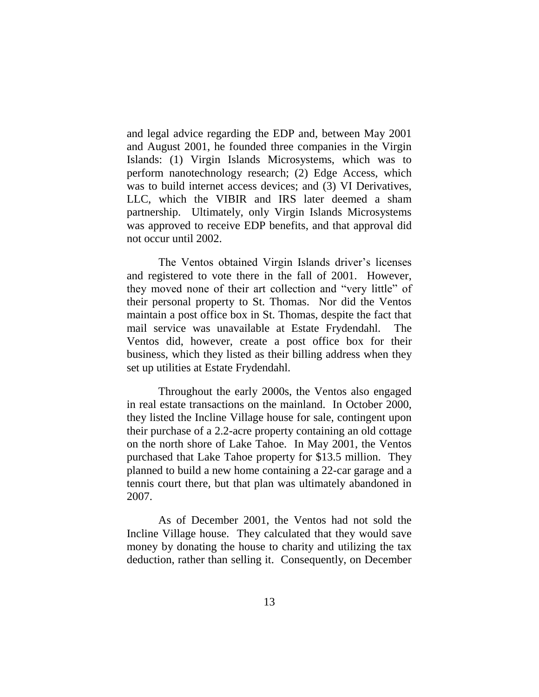and legal advice regarding the EDP and, between May 2001 and August 2001, he founded three companies in the Virgin Islands: (1) Virgin Islands Microsystems, which was to perform nanotechnology research; (2) Edge Access, which was to build internet access devices; and (3) VI Derivatives, LLC, which the VIBIR and IRS later deemed a sham partnership. Ultimately, only Virgin Islands Microsystems was approved to receive EDP benefits, and that approval did not occur until 2002.

The Ventos obtained Virgin Islands driver's licenses and registered to vote there in the fall of 2001. However, they moved none of their art collection and "very little" of their personal property to St. Thomas. Nor did the Ventos maintain a post office box in St. Thomas, despite the fact that mail service was unavailable at Estate Frydendahl. The Ventos did, however, create a post office box for their business, which they listed as their billing address when they set up utilities at Estate Frydendahl.

Throughout the early 2000s, the Ventos also engaged in real estate transactions on the mainland. In October 2000, they listed the Incline Village house for sale, contingent upon their purchase of a 2.2-acre property containing an old cottage on the north shore of Lake Tahoe. In May 2001, the Ventos purchased that Lake Tahoe property for \$13.5 million. They planned to build a new home containing a 22-car garage and a tennis court there, but that plan was ultimately abandoned in 2007.

As of December 2001, the Ventos had not sold the Incline Village house. They calculated that they would save money by donating the house to charity and utilizing the tax deduction, rather than selling it. Consequently, on December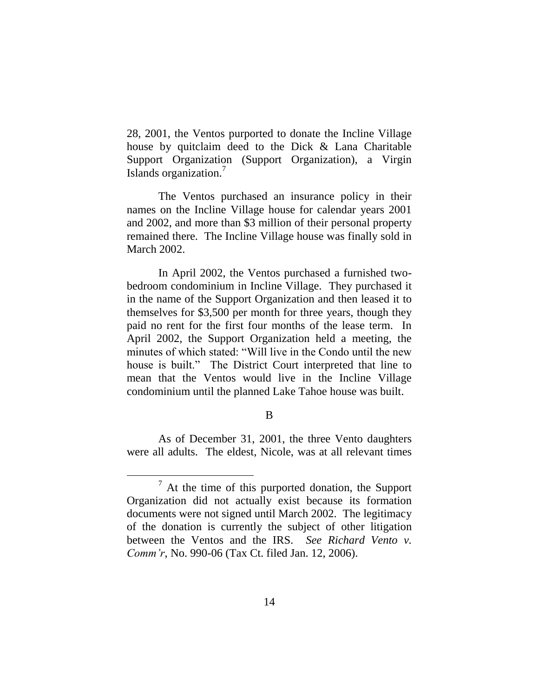28, 2001, the Ventos purported to donate the Incline Village house by quitclaim deed to the Dick & Lana Charitable Support Organization (Support Organization), a Virgin Islands organization.<sup>7</sup>

The Ventos purchased an insurance policy in their names on the Incline Village house for calendar years 2001 and 2002, and more than \$3 million of their personal property remained there. The Incline Village house was finally sold in March 2002.

In April 2002, the Ventos purchased a furnished twobedroom condominium in Incline Village. They purchased it in the name of the Support Organization and then leased it to themselves for \$3,500 per month for three years, though they paid no rent for the first four months of the lease term. In April 2002, the Support Organization held a meeting, the minutes of which stated: "Will live in the Condo until the new house is built." The District Court interpreted that line to mean that the Ventos would live in the Incline Village condominium until the planned Lake Tahoe house was built.

#### B

As of December 31, 2001, the three Vento daughters were all adults. The eldest, Nicole, was at all relevant times

 $7$  At the time of this purported donation, the Support Organization did not actually exist because its formation documents were not signed until March 2002. The legitimacy of the donation is currently the subject of other litigation between the Ventos and the IRS. *See Richard Vento v. Comm'r*, No. 990-06 (Tax Ct. filed Jan. 12, 2006).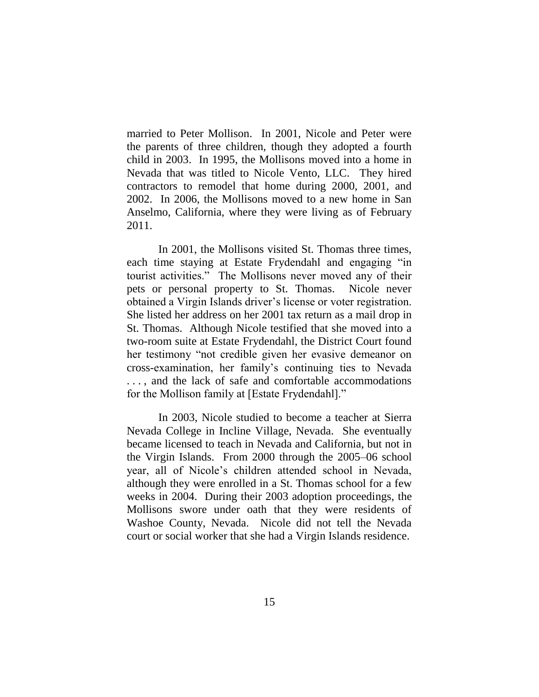married to Peter Mollison. In 2001, Nicole and Peter were the parents of three children, though they adopted a fourth child in 2003. In 1995, the Mollisons moved into a home in Nevada that was titled to Nicole Vento, LLC. They hired contractors to remodel that home during 2000, 2001, and 2002. In 2006, the Mollisons moved to a new home in San Anselmo, California, where they were living as of February 2011.

In 2001, the Mollisons visited St. Thomas three times, each time staying at Estate Frydendahl and engaging "in tourist activities.‖ The Mollisons never moved any of their pets or personal property to St. Thomas. Nicole never obtained a Virgin Islands driver's license or voter registration. She listed her address on her 2001 tax return as a mail drop in St. Thomas. Although Nicole testified that she moved into a two-room suite at Estate Frydendahl, the District Court found her testimony "not credible given her evasive demeanor on cross-examination, her family's continuing ties to Nevada . . . , and the lack of safe and comfortable accommodations for the Mollison family at [Estate Frydendahl]."

In 2003, Nicole studied to become a teacher at Sierra Nevada College in Incline Village, Nevada. She eventually became licensed to teach in Nevada and California, but not in the Virgin Islands. From 2000 through the 2005–06 school year, all of Nicole's children attended school in Nevada, although they were enrolled in a St. Thomas school for a few weeks in 2004. During their 2003 adoption proceedings, the Mollisons swore under oath that they were residents of Washoe County, Nevada. Nicole did not tell the Nevada court or social worker that she had a Virgin Islands residence.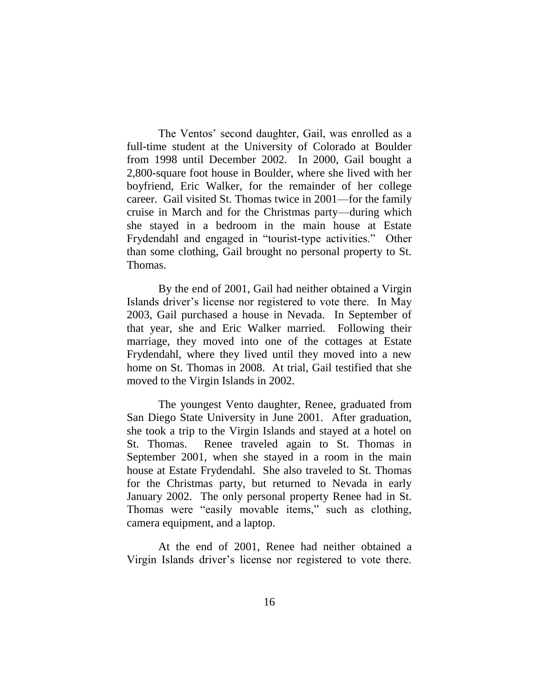The Ventos' second daughter, Gail, was enrolled as a full-time student at the University of Colorado at Boulder from 1998 until December 2002. In 2000, Gail bought a 2,800-square foot house in Boulder, where she lived with her boyfriend, Eric Walker, for the remainder of her college career. Gail visited St. Thomas twice in 2001—for the family cruise in March and for the Christmas party—during which she stayed in a bedroom in the main house at Estate Frydendahl and engaged in "tourist-type activities." Other than some clothing, Gail brought no personal property to St. Thomas.

By the end of 2001, Gail had neither obtained a Virgin Islands driver's license nor registered to vote there. In May 2003, Gail purchased a house in Nevada. In September of that year, she and Eric Walker married. Following their marriage, they moved into one of the cottages at Estate Frydendahl, where they lived until they moved into a new home on St. Thomas in 2008. At trial, Gail testified that she moved to the Virgin Islands in 2002.

The youngest Vento daughter, Renee, graduated from San Diego State University in June 2001. After graduation, she took a trip to the Virgin Islands and stayed at a hotel on St. Thomas. Renee traveled again to St. Thomas in September 2001, when she stayed in a room in the main house at Estate Frydendahl. She also traveled to St. Thomas for the Christmas party, but returned to Nevada in early January 2002. The only personal property Renee had in St. Thomas were "easily movable items," such as clothing, camera equipment, and a laptop.

At the end of 2001, Renee had neither obtained a Virgin Islands driver's license nor registered to vote there.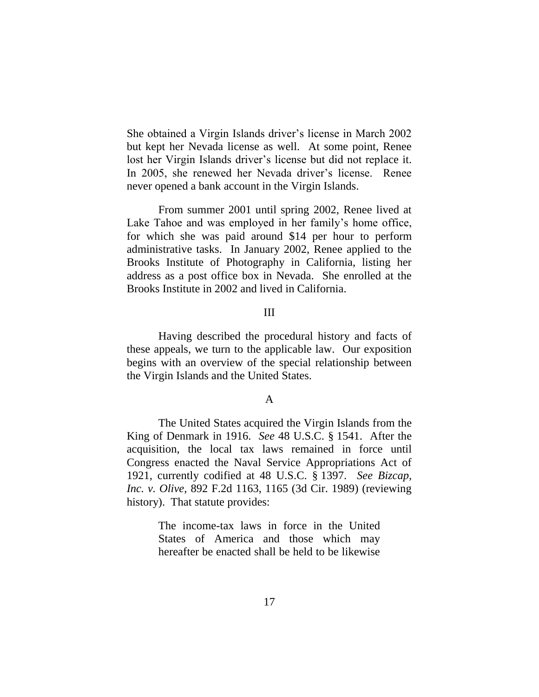She obtained a Virgin Islands driver's license in March 2002 but kept her Nevada license as well. At some point, Renee lost her Virgin Islands driver's license but did not replace it. In 2005, she renewed her Nevada driver's license. Renee never opened a bank account in the Virgin Islands.

From summer 2001 until spring 2002, Renee lived at Lake Tahoe and was employed in her family's home office, for which she was paid around \$14 per hour to perform administrative tasks. In January 2002, Renee applied to the Brooks Institute of Photography in California, listing her address as a post office box in Nevada. She enrolled at the Brooks Institute in 2002 and lived in California.

## III

Having described the procedural history and facts of these appeals, we turn to the applicable law. Our exposition begins with an overview of the special relationship between the Virgin Islands and the United States.

#### A

The United States acquired the Virgin Islands from the King of Denmark in 1916. *See* 48 U.S.C. § 1541. After the acquisition, the local tax laws remained in force until Congress enacted the Naval Service Appropriations Act of 1921, currently codified at 48 U.S.C. § 1397. *See Bizcap, Inc. v. Olive*, 892 F.2d 1163, 1165 (3d Cir. 1989) (reviewing history). That statute provides:

> The income-tax laws in force in the United States of America and those which may hereafter be enacted shall be held to be likewise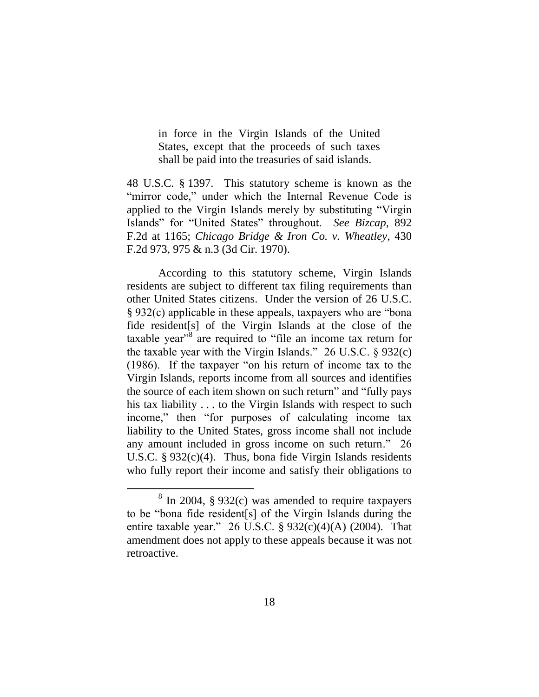in force in the Virgin Islands of the United States, except that the proceeds of such taxes shall be paid into the treasuries of said islands.

48 U.S.C. § 1397. This statutory scheme is known as the "mirror code," under which the Internal Revenue Code is applied to the Virgin Islands merely by substituting "Virgin Islands" for "United States" throughout. See Bizcap, 892 F.2d at 1165; *Chicago Bridge & Iron Co. v. Wheatley*, 430 F.2d 973, 975 & n.3 (3d Cir. 1970).

According to this statutory scheme, Virgin Islands residents are subject to different tax filing requirements than other United States citizens. Under the version of 26 U.S.C.  $\S 932(c)$  applicable in these appeals, taxpayers who are "bona" fide resident[s] of the Virgin Islands at the close of the taxable year<sup>38</sup> are required to "file an income tax return for the taxable year with the Virgin Islands."  $26$  U.S.C. § 932(c)  $(1986)$ . If the taxpayer "on his return of income tax to the Virgin Islands, reports income from all sources and identifies the source of each item shown on such return" and "fully pays" his tax liability . . . to the Virgin Islands with respect to such income," then "for purposes of calculating income tax liability to the United States, gross income shall not include any amount included in gross income on such return." 26 U.S.C. § 932(c)(4). Thus, bona fide Virgin Islands residents who fully report their income and satisfy their obligations to

 $8 \text{ In } 2004$ , § 932(c) was amended to require taxpayers to be "bona fide resident[s] of the Virgin Islands during the entire taxable year." 26 U.S.C.  $\S 932(c)(4)(A)$  (2004). That amendment does not apply to these appeals because it was not retroactive.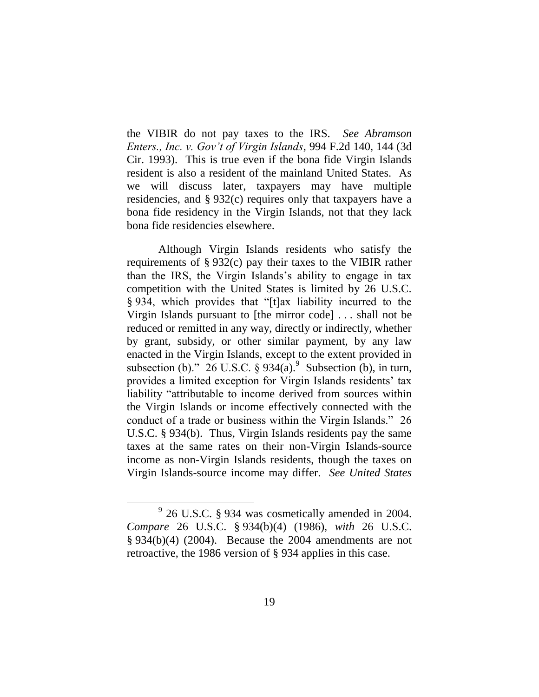the VIBIR do not pay taxes to the IRS. *See Abramson Enters., Inc. v. Gov't of Virgin Islands*, 994 F.2d 140, 144 (3d Cir. 1993). This is true even if the bona fide Virgin Islands resident is also a resident of the mainland United States. As we will discuss later, taxpayers may have multiple residencies, and § 932(c) requires only that taxpayers have a bona fide residency in the Virgin Islands, not that they lack bona fide residencies elsewhere.

Although Virgin Islands residents who satisfy the requirements of § 932(c) pay their taxes to the VIBIR rather than the IRS, the Virgin Islands's ability to engage in tax competition with the United States is limited by 26 U.S.C. § 934, which provides that "[t]ax liability incurred to the Virgin Islands pursuant to [the mirror code] . . . shall not be reduced or remitted in any way, directly or indirectly, whether by grant, subsidy, or other similar payment, by any law enacted in the Virgin Islands, except to the extent provided in subsection (b)." 26 U.S.C.  $\S 934(a)$ . Subsection (b), in turn, provides a limited exception for Virgin Islands residents' tax liability "attributable to income derived from sources within the Virgin Islands or income effectively connected with the conduct of a trade or business within the Virgin Islands." 26 U.S.C. § 934(b). Thus, Virgin Islands residents pay the same taxes at the same rates on their non-Virgin Islands-source income as non-Virgin Islands residents, though the taxes on Virgin Islands-source income may differ. *See United States* 

 $9^9$  26 U.S.C. § 934 was cosmetically amended in 2004. *Compare* 26 U.S.C. § 934(b)(4) (1986), *with* 26 U.S.C. § 934(b)(4) (2004). Because the 2004 amendments are not retroactive, the 1986 version of § 934 applies in this case.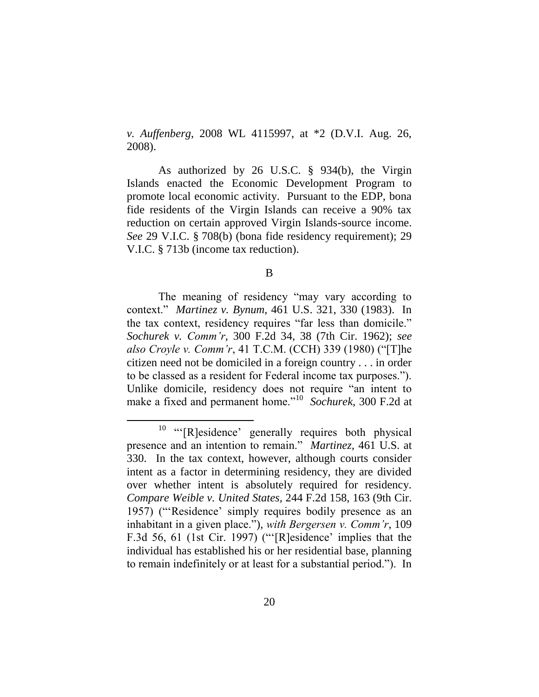*v. Auffenberg*, 2008 WL 4115997, at \*2 (D.V.I. Aug. 26, 2008).

As authorized by 26 U.S.C. § 934(b), the Virgin Islands enacted the Economic Development Program to promote local economic activity. Pursuant to the EDP, bona fide residents of the Virgin Islands can receive a 90% tax reduction on certain approved Virgin Islands-source income. *See* 29 V.I.C. § 708(b) (bona fide residency requirement); 29 V.I.C. § 713b (income tax reduction).

B

The meaning of residency "may vary according to context.‖ *Martinez v. Bynum*, 461 U.S. 321, 330 (1983). In the tax context, residency requires "far less than domicile." *Sochurek v. Comm'r*, 300 F.2d 34, 38 (7th Cir. 1962); *see also Croyle v. Comm'r,* 41 T.C.M. (CCH) 339 (1980) ("[T]he citizen need not be domiciled in a foreign country . . . in order to be classed as a resident for Federal income tax purposes."). Unlike domicile, residency does not require "an intent to make a fixed and permanent home."<sup>10</sup> Sochurek, 300 F.2d at

 $10$  "[R]esidence' generally requires both physical presence and an intention to remain." *Martinez*, 461 U.S. at 330. In the tax context, however, although courts consider intent as a factor in determining residency, they are divided over whether intent is absolutely required for residency. *Compare Weible v. United States*, 244 F.2d 158, 163 (9th Cir. 1957) ("Residence' simply requires bodily presence as an inhabitant in a given place."), *with Bergersen v. Comm'r*, 109 F.3d 56, 61 (1st Cir. 1997) (" $[R]$ esidence' implies that the individual has established his or her residential base, planning to remain indefinitely or at least for a substantial period."). In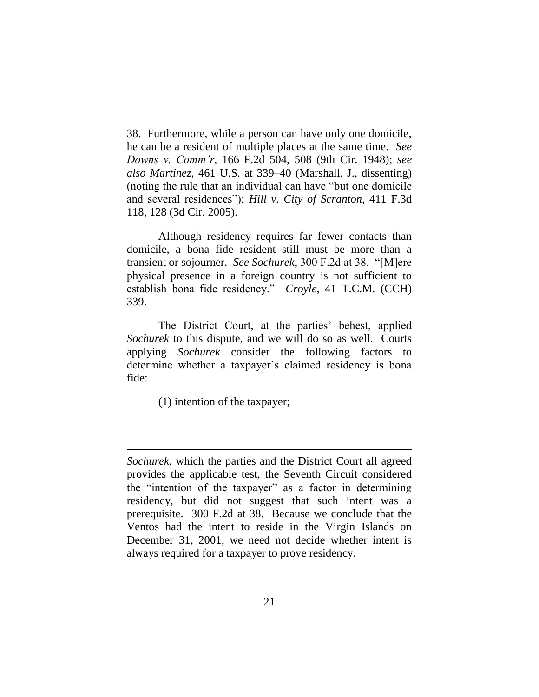38. Furthermore, while a person can have only one domicile, he can be a resident of multiple places at the same time. *See Downs v. Comm'r*, 166 F.2d 504, 508 (9th Cir. 1948); *see also Martinez*, 461 U.S. at 339–40 (Marshall, J., dissenting) (noting the rule that an individual can have "but one domicile") and several residences"); *Hill v. City of Scranton*, 411 F.3d 118, 128 (3d Cir. 2005).

Although residency requires far fewer contacts than domicile, a bona fide resident still must be more than a transient or sojourner. *See Sochurek*, 300 F.2d at 38. "[M]ere physical presence in a foreign country is not sufficient to establish bona fide residency." *Croyle*, 41 T.C.M. (CCH) 339.

The District Court, at the parties' behest, applied *Sochurek* to this dispute, and we will do so as well. Courts applying *Sochurek* consider the following factors to determine whether a taxpayer's claimed residency is bona fide:

(1) intention of the taxpayer;

*Sochurek*, which the parties and the District Court all agreed provides the applicable test, the Seventh Circuit considered the "intention of the taxpayer" as a factor in determining residency, but did not suggest that such intent was a prerequisite. 300 F.2d at 38. Because we conclude that the Ventos had the intent to reside in the Virgin Islands on December 31, 2001, we need not decide whether intent is always required for a taxpayer to prove residency.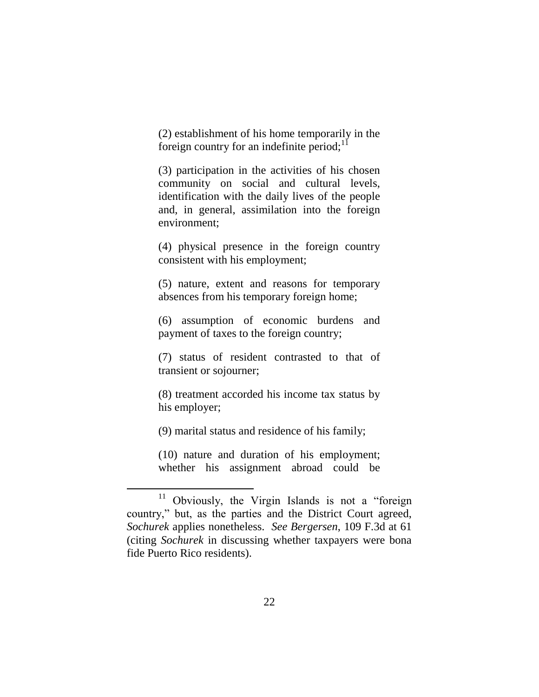(2) establishment of his home temporarily in the foreign country for an indefinite period; $11$ 

(3) participation in the activities of his chosen community on social and cultural levels, identification with the daily lives of the people and, in general, assimilation into the foreign environment;

(4) physical presence in the foreign country consistent with his employment;

(5) nature, extent and reasons for temporary absences from his temporary foreign home;

(6) assumption of economic burdens and payment of taxes to the foreign country;

(7) status of resident contrasted to that of transient or sojourner;

(8) treatment accorded his income tax status by his employer;

(9) marital status and residence of his family;

 $\overline{a}$ 

(10) nature and duration of his employment; whether his assignment abroad could be

 $11$  Obviously, the Virgin Islands is not a "foreign country," but, as the parties and the District Court agreed, *Sochurek* applies nonetheless. *See Bergersen*, 109 F.3d at 61 (citing *Sochurek* in discussing whether taxpayers were bona fide Puerto Rico residents).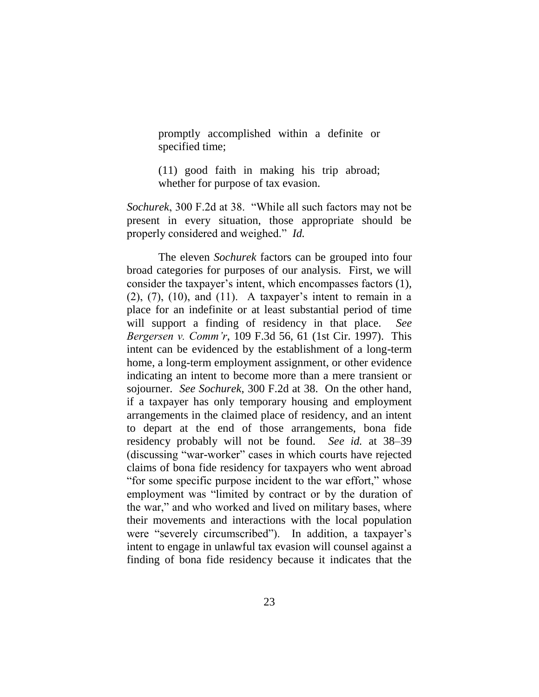promptly accomplished within a definite or specified time;

(11) good faith in making his trip abroad; whether for purpose of tax evasion.

*Sochurek*, 300 F.2d at 38. "While all such factors may not be present in every situation, those appropriate should be properly considered and weighed." *Id.* 

The eleven *Sochurek* factors can be grouped into four broad categories for purposes of our analysis. First, we will consider the taxpayer's intent, which encompasses factors (1),  $(2)$ ,  $(7)$ ,  $(10)$ , and  $(11)$ . A taxpayer's intent to remain in a place for an indefinite or at least substantial period of time will support a finding of residency in that place. *See Bergersen v. Comm'r*, 109 F.3d 56, 61 (1st Cir. 1997). This intent can be evidenced by the establishment of a long-term home, a long-term employment assignment, or other evidence indicating an intent to become more than a mere transient or sojourner. *See Sochurek*, 300 F.2d at 38. On the other hand, if a taxpayer has only temporary housing and employment arrangements in the claimed place of residency, and an intent to depart at the end of those arrangements, bona fide residency probably will not be found. *See id.* at 38–39 (discussing "war-worker" cases in which courts have rejected claims of bona fide residency for taxpayers who went abroad "for some specific purpose incident to the war effort," whose employment was "limited by contract or by the duration of the war," and who worked and lived on military bases, where their movements and interactions with the local population were "severely circumscribed"). In addition, a taxpayer's intent to engage in unlawful tax evasion will counsel against a finding of bona fide residency because it indicates that the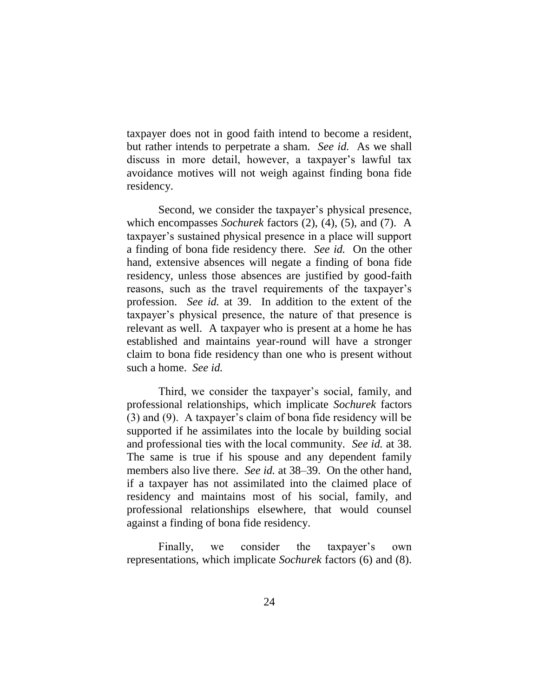taxpayer does not in good faith intend to become a resident, but rather intends to perpetrate a sham. *See id.* As we shall discuss in more detail, however, a taxpayer's lawful tax avoidance motives will not weigh against finding bona fide residency.

Second, we consider the taxpayer's physical presence, which encompasses *Sochurek* factors (2), (4), (5), and (7). A taxpayer's sustained physical presence in a place will support a finding of bona fide residency there. *See id.* On the other hand, extensive absences will negate a finding of bona fide residency, unless those absences are justified by good-faith reasons, such as the travel requirements of the taxpayer's profession. *See id.* at 39. In addition to the extent of the taxpayer's physical presence, the nature of that presence is relevant as well. A taxpayer who is present at a home he has established and maintains year-round will have a stronger claim to bona fide residency than one who is present without such a home. *See id.*

Third, we consider the taxpayer's social, family, and professional relationships, which implicate *Sochurek* factors (3) and (9). A taxpayer's claim of bona fide residency will be supported if he assimilates into the locale by building social and professional ties with the local community. *See id.* at 38. The same is true if his spouse and any dependent family members also live there. *See id.* at 38–39. On the other hand, if a taxpayer has not assimilated into the claimed place of residency and maintains most of his social, family, and professional relationships elsewhere, that would counsel against a finding of bona fide residency.

Finally, we consider the taxpayer's own representations, which implicate *Sochurek* factors (6) and (8).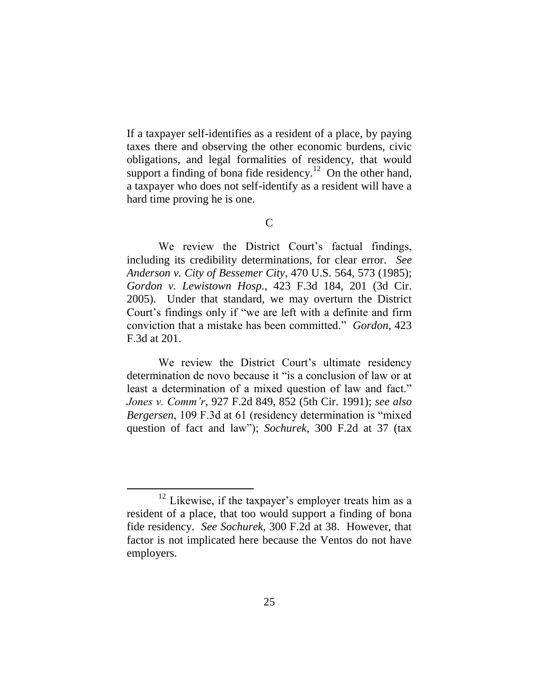If a taxpayer self-identifies as a resident of a place, by paying taxes there and observing the other economic burdens, civic obligations, and legal formalities of residency, that would support a finding of bona fide residency.<sup>12</sup> On the other hand, a taxpayer who does not self-identify as a resident will have a hard time proving he is one.

C

We review the District Court's factual findings, including its credibility determinations, for clear error. *See Anderson v. City of Bessemer City*, 470 U.S. 564, 573 (1985); *Gordon v. Lewistown Hosp.*, 423 F.3d 184, 201 (3d Cir. 2005). Under that standard, we may overturn the District Court's findings only if "we are left with a definite and firm conviction that a mistake has been committed." *Gordon*, 423 F.3d at 201.

We review the District Court's ultimate residency determination de novo because it "is a conclusion of law or at least a determination of a mixed question of law and fact." *Jones v. Comm'r*, 927 F.2d 849, 852 (5th Cir. 1991); *see also Bergersen*, 109 F.3d at 61 (residency determination is "mixed" question of fact and law"); *Sochurek*, 300 F.2d at 37 (tax

<sup>&</sup>lt;sup>12</sup> Likewise, if the taxpayer's employer treats him as a resident of a place, that too would support a finding of bona fide residency. *See Sochurek*, 300 F.2d at 38. However, that factor is not implicated here because the Ventos do not have employers.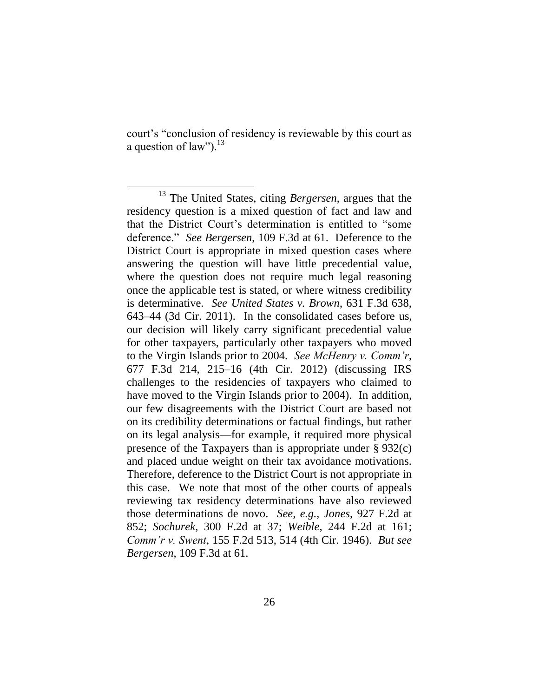court's "conclusion of residency is reviewable by this court as a question of law"). $^{13}$ 

<sup>13</sup> The United States, citing *Bergersen*, argues that the residency question is a mixed question of fact and law and that the District Court's determination is entitled to "some deference.‖ *See Bergersen*, 109 F.3d at 61. Deference to the District Court is appropriate in mixed question cases where answering the question will have little precedential value, where the question does not require much legal reasoning once the applicable test is stated, or where witness credibility is determinative. *See United States v. Brown*, 631 F.3d 638, 643–44 (3d Cir. 2011). In the consolidated cases before us, our decision will likely carry significant precedential value for other taxpayers, particularly other taxpayers who moved to the Virgin Islands prior to 2004. *See McHenry v. Comm'r*, 677 F.3d 214, 215–16 (4th Cir. 2012) (discussing IRS challenges to the residencies of taxpayers who claimed to have moved to the Virgin Islands prior to 2004). In addition, our few disagreements with the District Court are based not on its credibility determinations or factual findings, but rather on its legal analysis—for example, it required more physical presence of the Taxpayers than is appropriate under § 932(c) and placed undue weight on their tax avoidance motivations. Therefore, deference to the District Court is not appropriate in this case. We note that most of the other courts of appeals reviewing tax residency determinations have also reviewed those determinations de novo. *See, e.g.*, *Jones*, 927 F.2d at 852; *Sochurek*, 300 F.2d at 37; *Weible*, 244 F.2d at 161; *Comm'r v. Swent*, 155 F.2d 513, 514 (4th Cir. 1946). *But see Bergersen*, 109 F.3d at 61.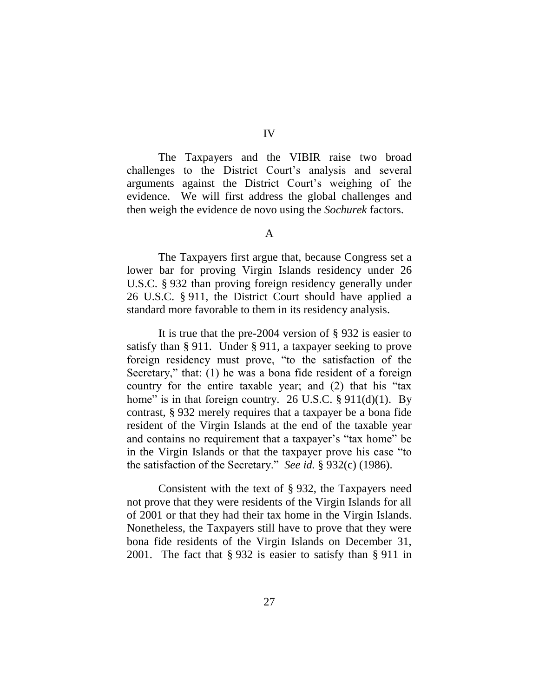The Taxpayers and the VIBIR raise two broad challenges to the District Court's analysis and several arguments against the District Court's weighing of the evidence. We will first address the global challenges and then weigh the evidence de novo using the *Sochurek* factors.

A

The Taxpayers first argue that, because Congress set a lower bar for proving Virgin Islands residency under 26 U.S.C. § 932 than proving foreign residency generally under 26 U.S.C. § 911, the District Court should have applied a standard more favorable to them in its residency analysis.

It is true that the pre-2004 version of § 932 is easier to satisfy than § 911. Under § 911, a taxpayer seeking to prove foreign residency must prove, "to the satisfaction of the Secretary," that:  $(1)$  he was a bona fide resident of a foreign country for the entire taxable year; and  $(2)$  that his "tax home" is in that foreign country. 26 U.S.C.  $\S$  911(d)(1). By contrast, § 932 merely requires that a taxpayer be a bona fide resident of the Virgin Islands at the end of the taxable year and contains no requirement that a taxpayer's "tax home" be in the Virgin Islands or that the taxpayer prove his case "to the satisfaction of the Secretary." *See id.* § 932(c) (1986).

Consistent with the text of § 932, the Taxpayers need not prove that they were residents of the Virgin Islands for all of 2001 or that they had their tax home in the Virgin Islands. Nonetheless, the Taxpayers still have to prove that they were bona fide residents of the Virgin Islands on December 31, 2001. The fact that § 932 is easier to satisfy than § 911 in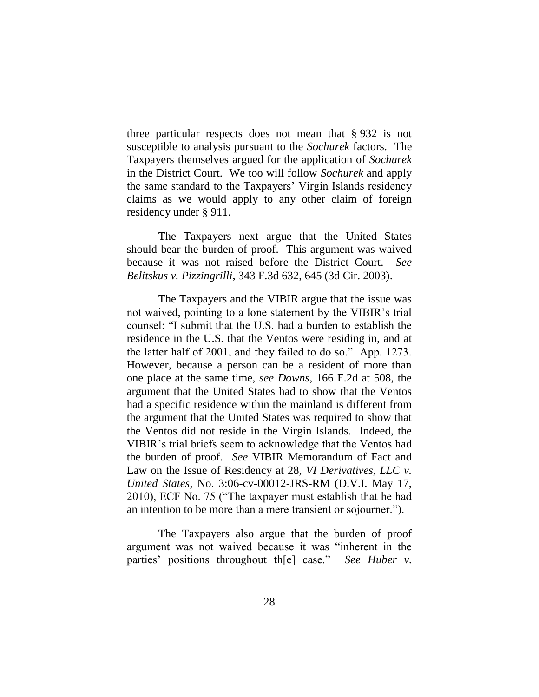three particular respects does not mean that § 932 is not susceptible to analysis pursuant to the *Sochurek* factors. The Taxpayers themselves argued for the application of *Sochurek* in the District Court. We too will follow *Sochurek* and apply the same standard to the Taxpayers' Virgin Islands residency claims as we would apply to any other claim of foreign residency under § 911.

The Taxpayers next argue that the United States should bear the burden of proof. This argument was waived because it was not raised before the District Court. *See Belitskus v. Pizzingrilli*, 343 F.3d 632, 645 (3d Cir. 2003).

The Taxpayers and the VIBIR argue that the issue was not waived, pointing to a lone statement by the VIBIR's trial counsel: "I submit that the U.S. had a burden to establish the residence in the U.S. that the Ventos were residing in, and at the latter half of 2001, and they failed to do so." App. 1273. However, because a person can be a resident of more than one place at the same time, *see Downs*, 166 F.2d at 508, the argument that the United States had to show that the Ventos had a specific residence within the mainland is different from the argument that the United States was required to show that the Ventos did not reside in the Virgin Islands. Indeed, the VIBIR's trial briefs seem to acknowledge that the Ventos had the burden of proof. *See* VIBIR Memorandum of Fact and Law on the Issue of Residency at 28, *VI Derivatives, LLC v. United States*, No. 3:06-cv-00012-JRS-RM (D.V.I. May 17, 2010), ECF No. 75 ("The taxpayer must establish that he had an intention to be more than a mere transient or sojourner.").

The Taxpayers also argue that the burden of proof argument was not waived because it was "inherent in the parties' positions throughout the case." *See Huber v.*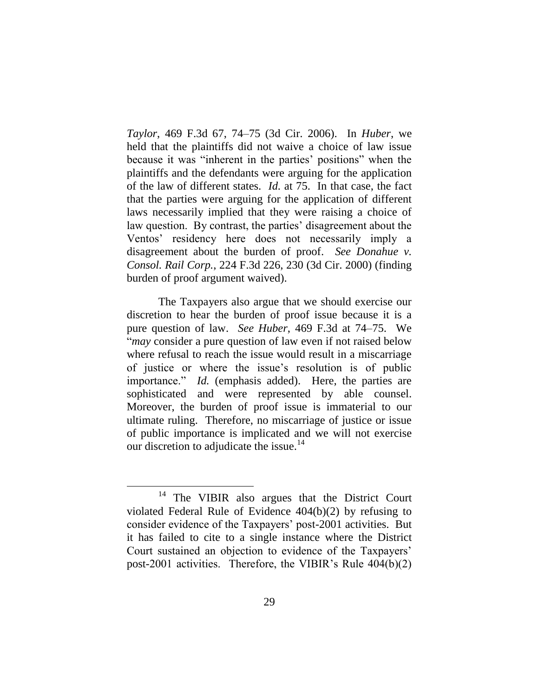*Taylor*, 469 F.3d 67, 74–75 (3d Cir. 2006). In *Huber*, we held that the plaintiffs did not waive a choice of law issue because it was "inherent in the parties' positions" when the plaintiffs and the defendants were arguing for the application of the law of different states. *Id.* at 75. In that case, the fact that the parties were arguing for the application of different laws necessarily implied that they were raising a choice of law question. By contrast, the parties' disagreement about the Ventos' residency here does not necessarily imply a disagreement about the burden of proof. *See Donahue v. Consol. Rail Corp.*, 224 F.3d 226, 230 (3d Cir. 2000) (finding burden of proof argument waived).

The Taxpayers also argue that we should exercise our discretion to hear the burden of proof issue because it is a pure question of law. *See Huber*, 469 F.3d at 74–75. We ―*may* consider a pure question of law even if not raised below where refusal to reach the issue would result in a miscarriage of justice or where the issue's resolution is of public importance." *Id.* (emphasis added). Here, the parties are sophisticated and were represented by able counsel. Moreover, the burden of proof issue is immaterial to our ultimate ruling. Therefore, no miscarriage of justice or issue of public importance is implicated and we will not exercise our discretion to adjudicate the issue.<sup>14</sup>

<sup>&</sup>lt;sup>14</sup> The VIBIR also argues that the District Court violated Federal Rule of Evidence 404(b)(2) by refusing to consider evidence of the Taxpayers' post-2001 activities. But it has failed to cite to a single instance where the District Court sustained an objection to evidence of the Taxpayers' post-2001 activities. Therefore, the VIBIR's Rule 404(b)(2)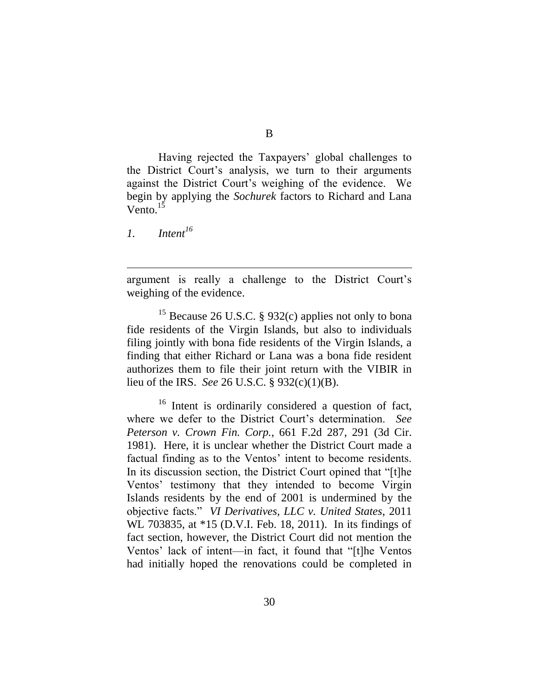Having rejected the Taxpayers' global challenges to the District Court's analysis, we turn to their arguments against the District Court's weighing of the evidence. We begin by applying the *Sochurek* factors to Richard and Lana Vento. $^{15}$ 

*1. Intent<sup>16</sup>*

 $\overline{a}$ 

argument is really a challenge to the District Court's weighing of the evidence.

<sup>15</sup> Because 26 U.S.C. § 932(c) applies not only to bona fide residents of the Virgin Islands, but also to individuals filing jointly with bona fide residents of the Virgin Islands, a finding that either Richard or Lana was a bona fide resident authorizes them to file their joint return with the VIBIR in lieu of the IRS. *See* 26 U.S.C. § 932(c)(1)(B).

<sup>16</sup> Intent is ordinarily considered a question of fact, where we defer to the District Court's determination. *See Peterson v. Crown Fin. Corp.*, 661 F.2d 287, 291 (3d Cir. 1981). Here, it is unclear whether the District Court made a factual finding as to the Ventos' intent to become residents. In its discussion section, the District Court opined that "[t]he Ventos' testimony that they intended to become Virgin Islands residents by the end of 2001 is undermined by the objective facts.‖ *VI Derivatives, LLC v. United States*, 2011 WL 703835, at \*15 (D.V.I. Feb. 18, 2011). In its findings of fact section, however, the District Court did not mention the Ventos' lack of intent—in fact, it found that "[t]he Ventos had initially hoped the renovations could be completed in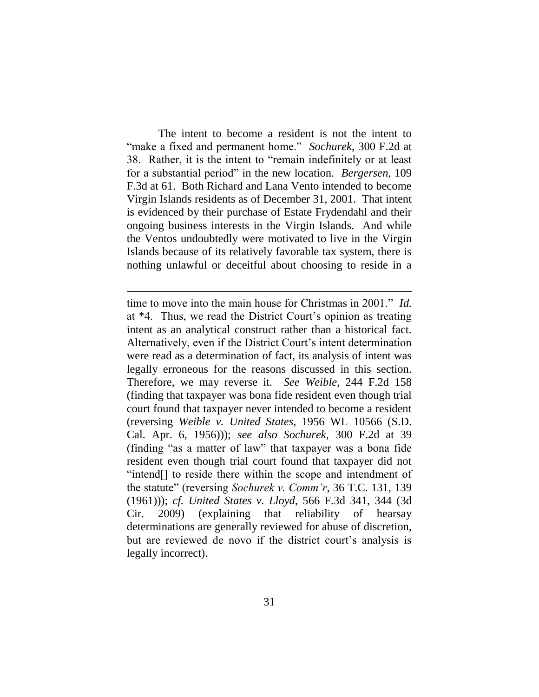The intent to become a resident is not the intent to ―make a fixed and permanent home.‖ *Sochurek*, 300 F.2d at 38. Rather, it is the intent to "remain indefinitely or at least for a substantial period" in the new location. *Bergersen*, 109 F.3d at 61. Both Richard and Lana Vento intended to become Virgin Islands residents as of December 31, 2001. That intent is evidenced by their purchase of Estate Frydendahl and their ongoing business interests in the Virgin Islands. And while the Ventos undoubtedly were motivated to live in the Virgin Islands because of its relatively favorable tax system, there is nothing unlawful or deceitful about choosing to reside in a

time to move into the main house for Christmas in 2001." *Id.* at \*4. Thus, we read the District Court's opinion as treating intent as an analytical construct rather than a historical fact. Alternatively, even if the District Court's intent determination were read as a determination of fact, its analysis of intent was legally erroneous for the reasons discussed in this section. Therefore, we may reverse it. *See Weible*, 244 F.2d 158 (finding that taxpayer was bona fide resident even though trial court found that taxpayer never intended to become a resident (reversing *Weible v. United States*, 1956 WL 10566 (S.D. Cal. Apr. 6, 1956))); *see also Sochurek*, 300 F.2d at 39 (finding "as a matter of law" that taxpayer was a bona fide resident even though trial court found that taxpayer did not "intend<sup>[]</sup> to reside there within the scope and intendment of the statute‖ (reversing *Sochurek v. Comm'r*, 36 T.C. 131, 139 (1961))); *cf. United States v. Lloyd*, 566 F.3d 341, 344 (3d Cir. 2009) (explaining that reliability of hearsay determinations are generally reviewed for abuse of discretion, but are reviewed de novo if the district court's analysis is legally incorrect).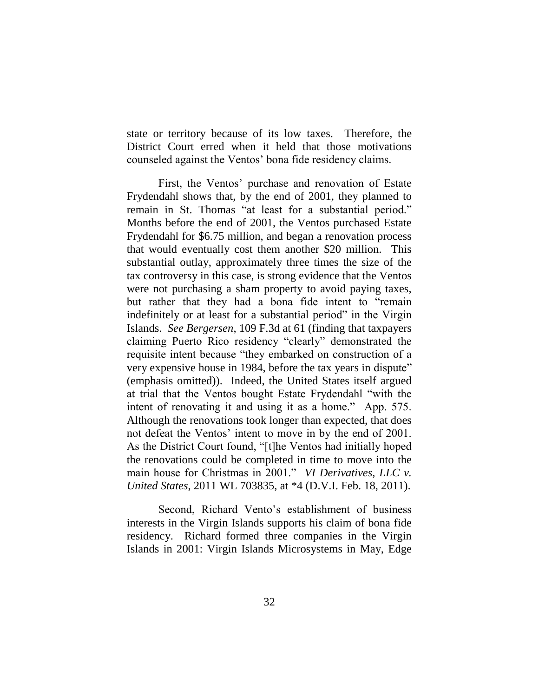state or territory because of its low taxes. Therefore, the District Court erred when it held that those motivations counseled against the Ventos' bona fide residency claims.

First, the Ventos' purchase and renovation of Estate Frydendahl shows that, by the end of 2001, they planned to remain in St. Thomas "at least for a substantial period." Months before the end of 2001, the Ventos purchased Estate Frydendahl for \$6.75 million, and began a renovation process that would eventually cost them another \$20 million. This substantial outlay, approximately three times the size of the tax controversy in this case, is strong evidence that the Ventos were not purchasing a sham property to avoid paying taxes, but rather that they had a bona fide intent to "remain indefinitely or at least for a substantial period" in the Virgin Islands. *See Bergersen*, 109 F.3d at 61 (finding that taxpayers claiming Puerto Rico residency "clearly" demonstrated the requisite intent because "they embarked on construction of a very expensive house in 1984, before the tax years in dispute" (emphasis omitted)). Indeed, the United States itself argued at trial that the Ventos bought Estate Frydendahl "with the intent of renovating it and using it as a home." App. 575. Although the renovations took longer than expected, that does not defeat the Ventos' intent to move in by the end of 2001. As the District Court found, "[t]he Ventos had initially hoped the renovations could be completed in time to move into the main house for Christmas in 2001." *VI Derivatives, LLC v. United States*, 2011 WL 703835, at \*4 (D.V.I. Feb. 18, 2011).

Second, Richard Vento's establishment of business interests in the Virgin Islands supports his claim of bona fide residency. Richard formed three companies in the Virgin Islands in 2001: Virgin Islands Microsystems in May, Edge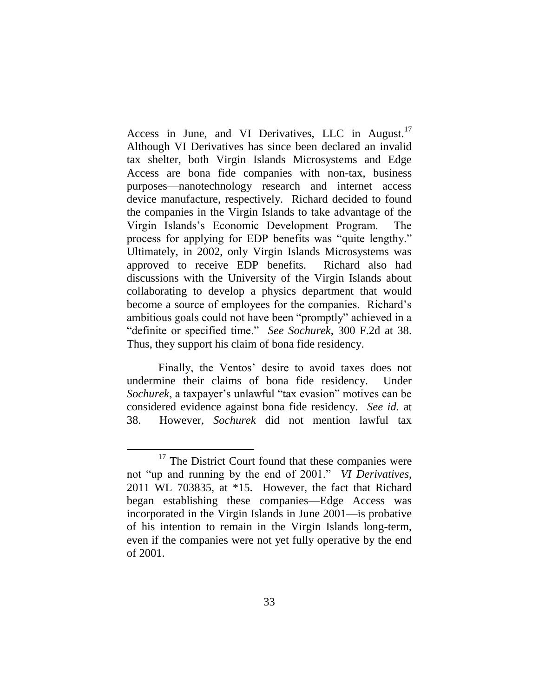Access in June, and VI Derivatives, LLC in August.<sup>17</sup> Although VI Derivatives has since been declared an invalid tax shelter, both Virgin Islands Microsystems and Edge Access are bona fide companies with non-tax, business purposes—nanotechnology research and internet access device manufacture, respectively. Richard decided to found the companies in the Virgin Islands to take advantage of the Virgin Islands's Economic Development Program. The process for applying for EDP benefits was "quite lengthy." Ultimately, in 2002, only Virgin Islands Microsystems was approved to receive EDP benefits. Richard also had discussions with the University of the Virgin Islands about collaborating to develop a physics department that would become a source of employees for the companies. Richard's ambitious goals could not have been "promptly" achieved in a ―definite or specified time.‖ *See Sochurek*, 300 F.2d at 38. Thus, they support his claim of bona fide residency.

Finally, the Ventos' desire to avoid taxes does not undermine their claims of bona fide residency. Under *Sochurek*, a taxpayer's unlawful "tax evasion" motives can be considered evidence against bona fide residency. *See id.* at 38. However, *Sochurek* did not mention lawful tax

<sup>&</sup>lt;sup>17</sup> The District Court found that these companies were not "up and running by the end of 2001." *VI Derivatives*, 2011 WL 703835, at \*15. However, the fact that Richard began establishing these companies—Edge Access was incorporated in the Virgin Islands in June 2001—is probative of his intention to remain in the Virgin Islands long-term, even if the companies were not yet fully operative by the end of 2001.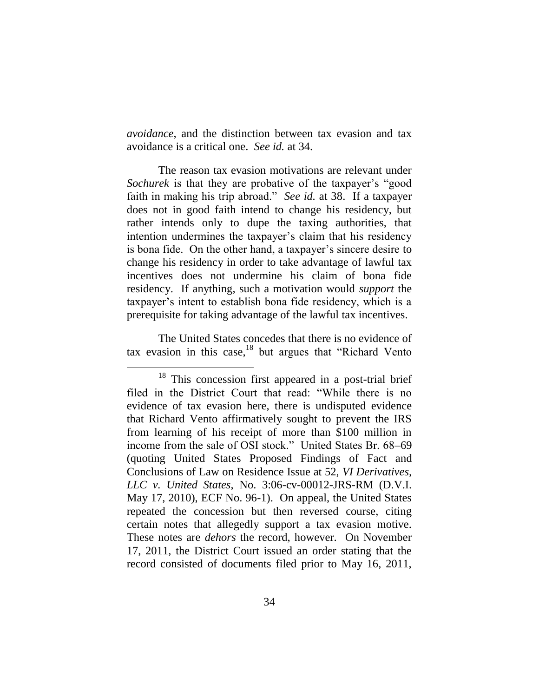*avoidance*, and the distinction between tax evasion and tax avoidance is a critical one. *See id.* at 34.

The reason tax evasion motivations are relevant under *Sochurek* is that they are probative of the taxpayer's "good faith in making his trip abroad." *See id.* at 38. If a taxpayer does not in good faith intend to change his residency, but rather intends only to dupe the taxing authorities, that intention undermines the taxpayer's claim that his residency is bona fide. On the other hand, a taxpayer's sincere desire to change his residency in order to take advantage of lawful tax incentives does not undermine his claim of bona fide residency. If anything, such a motivation would *support* the taxpayer's intent to establish bona fide residency, which is a prerequisite for taking advantage of the lawful tax incentives.

The United States concedes that there is no evidence of tax evasion in this case, $18$  but argues that "Richard Vento"

<sup>&</sup>lt;sup>18</sup> This concession first appeared in a post-trial brief filed in the District Court that read: "While there is no evidence of tax evasion here, there is undisputed evidence that Richard Vento affirmatively sought to prevent the IRS from learning of his receipt of more than \$100 million in income from the sale of OSI stock." United States Br. 68–69 (quoting United States Proposed Findings of Fact and Conclusions of Law on Residence Issue at 52, *VI Derivatives, LLC v. United States*, No. 3:06-cv-00012-JRS-RM (D.V.I. May 17, 2010), ECF No. 96-1). On appeal, the United States repeated the concession but then reversed course, citing certain notes that allegedly support a tax evasion motive. These notes are *dehors* the record, however. On November 17, 2011, the District Court issued an order stating that the record consisted of documents filed prior to May 16, 2011,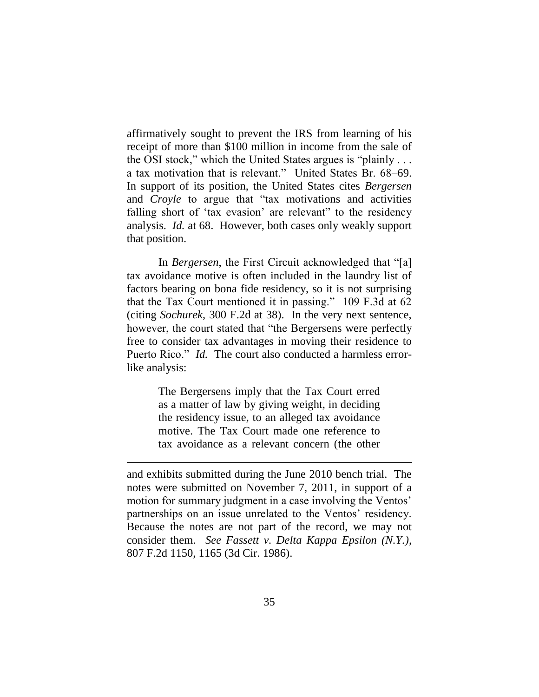affirmatively sought to prevent the IRS from learning of his receipt of more than \$100 million in income from the sale of the OSI stock," which the United States argues is "plainly . . . a tax motivation that is relevant." United States Br. 68–69. In support of its position, the United States cites *Bergersen* and *Croyle* to argue that "tax motivations and activities falling short of 'tax evasion' are relevant' to the residency analysis. *Id.* at 68. However, both cases only weakly support that position.

In *Bergersen*, the First Circuit acknowledged that "[a] tax avoidance motive is often included in the laundry list of factors bearing on bona fide residency, so it is not surprising that the Tax Court mentioned it in passing." 109 F.3d at  $62$ (citing *Sochurek*, 300 F.2d at 38). In the very next sentence, however, the court stated that "the Bergersens were perfectly free to consider tax advantages in moving their residence to Puerto Rico." *Id.* The court also conducted a harmless errorlike analysis:

> The Bergersens imply that the Tax Court erred as a matter of law by giving weight, in deciding the residency issue, to an alleged tax avoidance motive. The Tax Court made one reference to tax avoidance as a relevant concern (the other

 $\overline{a}$ 

and exhibits submitted during the June 2010 bench trial. The notes were submitted on November 7, 2011, in support of a motion for summary judgment in a case involving the Ventos' partnerships on an issue unrelated to the Ventos' residency. Because the notes are not part of the record, we may not consider them. *See Fassett v. Delta Kappa Epsilon (N.Y.)*, 807 F.2d 1150, 1165 (3d Cir. 1986).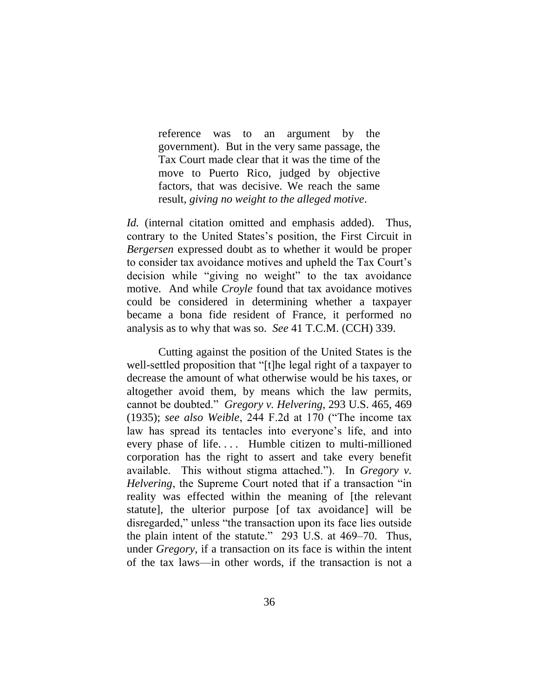reference was to an argument by the government). But in the very same passage, the Tax Court made clear that it was the time of the move to Puerto Rico, judged by objective factors, that was decisive. We reach the same result, *giving no weight to the alleged motive*.

*Id.* (internal citation omitted and emphasis added). Thus, contrary to the United States's position, the First Circuit in *Bergersen* expressed doubt as to whether it would be proper to consider tax avoidance motives and upheld the Tax Court's decision while "giving no weight" to the tax avoidance motive. And while *Croyle* found that tax avoidance motives could be considered in determining whether a taxpayer became a bona fide resident of France, it performed no analysis as to why that was so. *See* 41 T.C.M. (CCH) 339.

Cutting against the position of the United States is the well-settled proposition that "[t]he legal right of a taxpayer to decrease the amount of what otherwise would be his taxes, or altogether avoid them, by means which the law permits, cannot be doubted.‖ *Gregory v. Helvering*, 293 U.S. 465, 469 (1935); *see also Weible*, 244 F.2d at 170 ("The income tax law has spread its tentacles into everyone's life, and into every phase of life.... Humble citizen to multi-millioned corporation has the right to assert and take every benefit available. This without stigma attached."). In *Gregory v. Helvering*, the Supreme Court noted that if a transaction "in reality was effected within the meaning of [the relevant statute], the ulterior purpose [of tax avoidance] will be disregarded," unless "the transaction upon its face lies outside the plain intent of the statute." 293 U.S. at 469–70. Thus, under *Gregory*, if a transaction on its face is within the intent of the tax laws—in other words, if the transaction is not a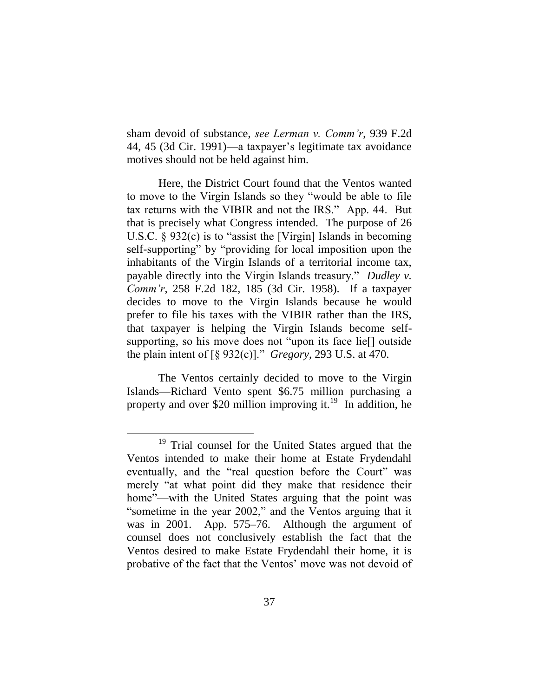sham devoid of substance, *see Lerman v. Comm'r*, 939 F.2d 44, 45 (3d Cir. 1991)—a taxpayer's legitimate tax avoidance motives should not be held against him.

Here, the District Court found that the Ventos wanted to move to the Virgin Islands so they "would be able to file tax returns with the VIBIR and not the IRS." App. 44. But that is precisely what Congress intended. The purpose of 26 U.S.C.  $\S$  932(c) is to "assist the [Virgin] Islands in becoming self-supporting" by "providing for local imposition upon the inhabitants of the Virgin Islands of a territorial income tax, payable directly into the Virgin Islands treasury." *Dudley v. Comm'r*, 258 F.2d 182, 185 (3d Cir. 1958). If a taxpayer decides to move to the Virgin Islands because he would prefer to file his taxes with the VIBIR rather than the IRS, that taxpayer is helping the Virgin Islands become selfsupporting, so his move does not "upon its face lie<sup>[]</sup> outside the plain intent of  $\lbrack \S$  932(c)]." *Gregory*, 293 U.S. at 470.

The Ventos certainly decided to move to the Virgin Islands—Richard Vento spent \$6.75 million purchasing a property and over \$20 million improving it.<sup>19</sup> In addition, he

<sup>&</sup>lt;sup>19</sup> Trial counsel for the United States argued that the Ventos intended to make their home at Estate Frydendahl eventually, and the "real question before the Court" was merely "at what point did they make that residence their home"—with the United States arguing that the point was "sometime in the year 2002," and the Ventos arguing that it was in 2001. App. 575–76. Although the argument of counsel does not conclusively establish the fact that the Ventos desired to make Estate Frydendahl their home, it is probative of the fact that the Ventos' move was not devoid of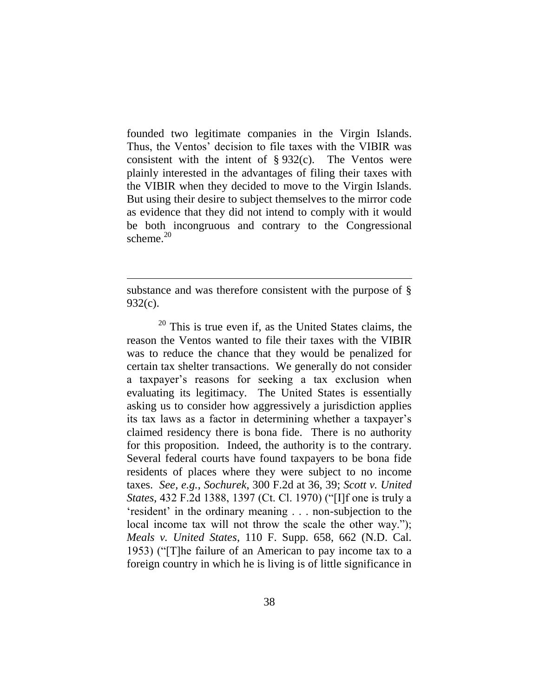founded two legitimate companies in the Virgin Islands. Thus, the Ventos' decision to file taxes with the VIBIR was consistent with the intent of  $\S 932(c)$ . The Ventos were plainly interested in the advantages of filing their taxes with the VIBIR when they decided to move to the Virgin Islands. But using their desire to subject themselves to the mirror code as evidence that they did not intend to comply with it would be both incongruous and contrary to the Congressional scheme. $20$ 

substance and was therefore consistent with the purpose of § 932(c).

 $\overline{a}$ 

 $20$  This is true even if, as the United States claims, the reason the Ventos wanted to file their taxes with the VIBIR was to reduce the chance that they would be penalized for certain tax shelter transactions. We generally do not consider a taxpayer's reasons for seeking a tax exclusion when evaluating its legitimacy. The United States is essentially asking us to consider how aggressively a jurisdiction applies its tax laws as a factor in determining whether a taxpayer's claimed residency there is bona fide. There is no authority for this proposition. Indeed, the authority is to the contrary. Several federal courts have found taxpayers to be bona fide residents of places where they were subject to no income taxes. *See, e.g.*, *Sochurek*, 300 F.2d at 36, 39; *Scott v. United States*, 432 F.2d 1388, 1397 (Ct. Cl. 1970) ("[I]f one is truly a ‗resident' in the ordinary meaning . . . non-subjection to the local income tax will not throw the scale the other way."); *Meals v. United States*, 110 F. Supp. 658, 662 (N.D. Cal. 1953) ("The failure of an American to pay income tax to a foreign country in which he is living is of little significance in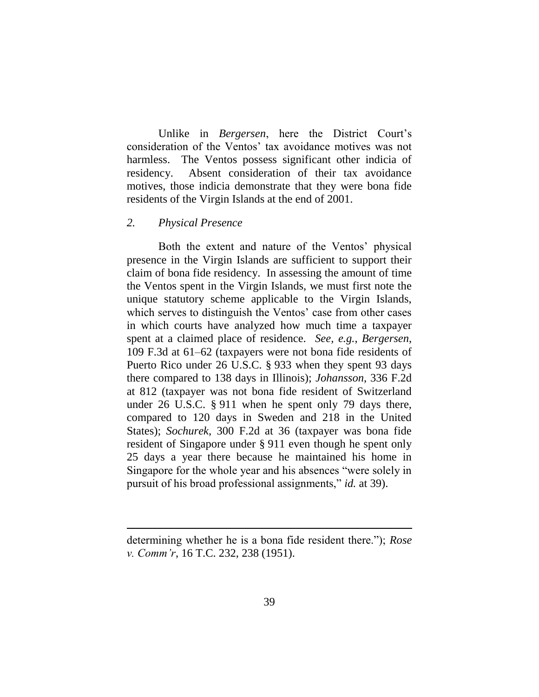Unlike in *Bergersen*, here the District Court's consideration of the Ventos' tax avoidance motives was not harmless. The Ventos possess significant other indicia of residency. Absent consideration of their tax avoidance motives, those indicia demonstrate that they were bona fide residents of the Virgin Islands at the end of 2001.

## *2. Physical Presence*

 $\overline{a}$ 

Both the extent and nature of the Ventos' physical presence in the Virgin Islands are sufficient to support their claim of bona fide residency. In assessing the amount of time the Ventos spent in the Virgin Islands, we must first note the unique statutory scheme applicable to the Virgin Islands, which serves to distinguish the Ventos' case from other cases in which courts have analyzed how much time a taxpayer spent at a claimed place of residence. *See, e.g.*, *Bergersen*, 109 F.3d at 61–62 (taxpayers were not bona fide residents of Puerto Rico under 26 U.S.C. § 933 when they spent 93 days there compared to 138 days in Illinois); *Johansson*, 336 F.2d at 812 (taxpayer was not bona fide resident of Switzerland under 26 U.S.C. § 911 when he spent only 79 days there, compared to 120 days in Sweden and 218 in the United States); *Sochurek*, 300 F.2d at 36 (taxpayer was bona fide resident of Singapore under § 911 even though he spent only 25 days a year there because he maintained his home in Singapore for the whole year and his absences "were solely in pursuit of his broad professional assignments," *id.* at 39).

determining whether he is a bona fide resident there."); *Rose v. Comm'r*, 16 T.C. 232, 238 (1951).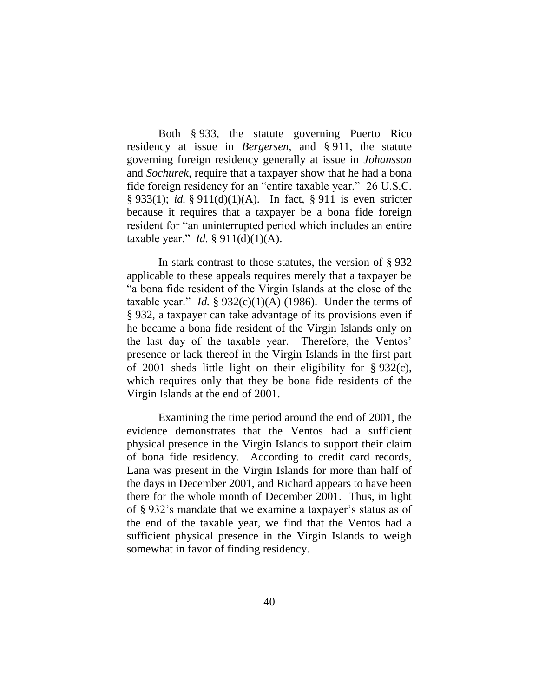Both § 933, the statute governing Puerto Rico residency at issue in *Bergersen*, and § 911, the statute governing foreign residency generally at issue in *Johansson* and *Sochurek*, require that a taxpayer show that he had a bona fide foreign residency for an "entire taxable year." 26 U.S.C. § 933(1); *id.* § 911(d)(1)(A). In fact, § 911 is even stricter because it requires that a taxpayer be a bona fide foreign resident for "an uninterrupted period which includes an entire taxable year." *Id.* §  $911(d)(1)(A)$ .

In stark contrast to those statutes, the version of § 932 applicable to these appeals requires merely that a taxpayer be ―a bona fide resident of the Virgin Islands at the close of the taxable year." *Id.* §  $932(c)(1)(A)$  (1986). Under the terms of § 932, a taxpayer can take advantage of its provisions even if he became a bona fide resident of the Virgin Islands only on the last day of the taxable year. Therefore, the Ventos' presence or lack thereof in the Virgin Islands in the first part of 2001 sheds little light on their eligibility for § 932(c), which requires only that they be bona fide residents of the Virgin Islands at the end of 2001.

Examining the time period around the end of 2001, the evidence demonstrates that the Ventos had a sufficient physical presence in the Virgin Islands to support their claim of bona fide residency. According to credit card records, Lana was present in the Virgin Islands for more than half of the days in December 2001, and Richard appears to have been there for the whole month of December 2001. Thus, in light of § 932's mandate that we examine a taxpayer's status as of the end of the taxable year, we find that the Ventos had a sufficient physical presence in the Virgin Islands to weigh somewhat in favor of finding residency.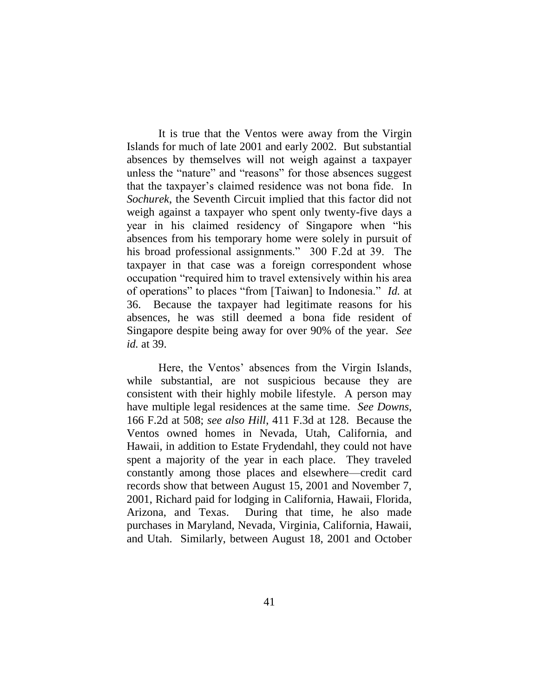It is true that the Ventos were away from the Virgin Islands for much of late 2001 and early 2002. But substantial absences by themselves will not weigh against a taxpayer unless the "nature" and "reasons" for those absences suggest that the taxpayer's claimed residence was not bona fide. In *Sochurek*, the Seventh Circuit implied that this factor did not weigh against a taxpayer who spent only twenty-five days a year in his claimed residency of Singapore when "his absences from his temporary home were solely in pursuit of his broad professional assignments." 300 F.2d at 39. The taxpayer in that case was a foreign correspondent whose occupation "required him to travel extensively within his area of operations" to places "from [Taiwan] to Indonesia." *Id.* at 36. Because the taxpayer had legitimate reasons for his absences, he was still deemed a bona fide resident of Singapore despite being away for over 90% of the year. *See id.* at 39.

Here, the Ventos' absences from the Virgin Islands, while substantial, are not suspicious because they are consistent with their highly mobile lifestyle. A person may have multiple legal residences at the same time. *See Downs*, 166 F.2d at 508; *see also Hill*, 411 F.3d at 128. Because the Ventos owned homes in Nevada, Utah, California, and Hawaii, in addition to Estate Frydendahl, they could not have spent a majority of the year in each place. They traveled constantly among those places and elsewhere—credit card records show that between August 15, 2001 and November 7, 2001, Richard paid for lodging in California, Hawaii, Florida, Arizona, and Texas. During that time, he also made purchases in Maryland, Nevada, Virginia, California, Hawaii, and Utah.Similarly, between August 18, 2001 and October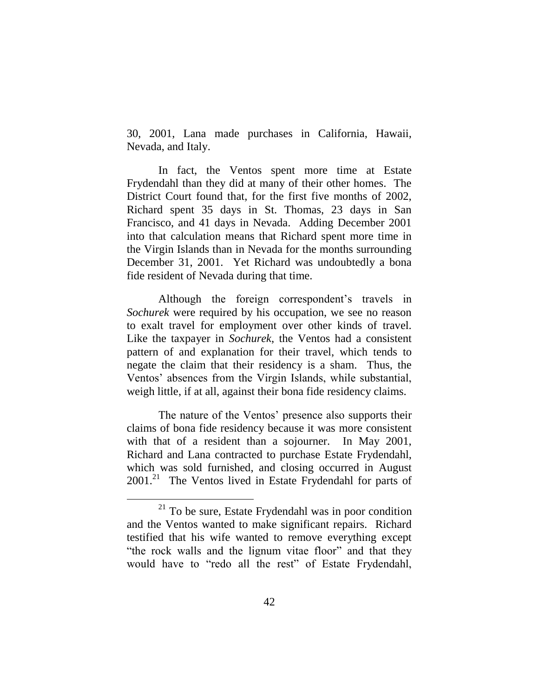30, 2001, Lana made purchases in California, Hawaii, Nevada, and Italy.

In fact, the Ventos spent more time at Estate Frydendahl than they did at many of their other homes. The District Court found that, for the first five months of 2002, Richard spent 35 days in St. Thomas, 23 days in San Francisco, and 41 days in Nevada. Adding December 2001 into that calculation means that Richard spent more time in the Virgin Islands than in Nevada for the months surrounding December 31, 2001. Yet Richard was undoubtedly a bona fide resident of Nevada during that time.

Although the foreign correspondent's travels in *Sochurek* were required by his occupation, we see no reason to exalt travel for employment over other kinds of travel. Like the taxpayer in *Sochurek*, the Ventos had a consistent pattern of and explanation for their travel, which tends to negate the claim that their residency is a sham. Thus, the Ventos' absences from the Virgin Islands, while substantial, weigh little, if at all, against their bona fide residency claims.

The nature of the Ventos' presence also supports their claims of bona fide residency because it was more consistent with that of a resident than a sojourner. In May 2001, Richard and Lana contracted to purchase Estate Frydendahl, which was sold furnished, and closing occurred in August 2001.<sup>21</sup> The Ventos lived in Estate Frydendahl for parts of

 $21$  To be sure, Estate Frydendahl was in poor condition and the Ventos wanted to make significant repairs. Richard testified that his wife wanted to remove everything except "the rock walls and the lignum vitae floor" and that they would have to "redo all the rest" of Estate Frydendahl,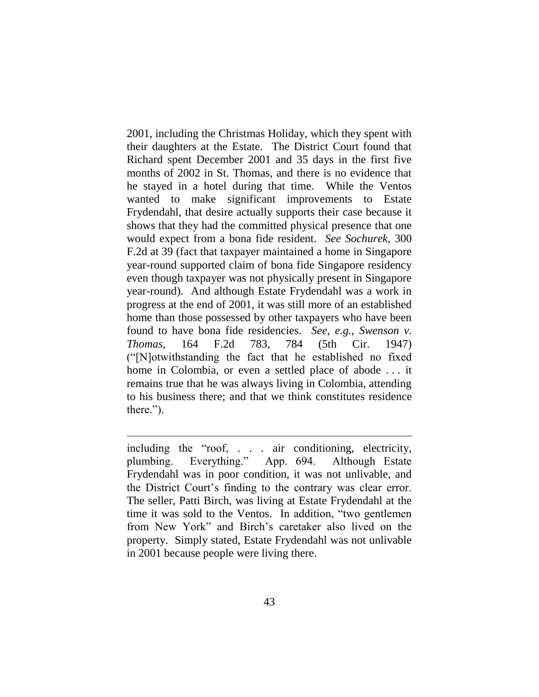2001, including the Christmas Holiday, which they spent with their daughters at the Estate. The District Court found that Richard spent December 2001 and 35 days in the first five months of 2002 in St. Thomas, and there is no evidence that he stayed in a hotel during that time. While the Ventos wanted to make significant improvements to Estate Frydendahl, that desire actually supports their case because it shows that they had the committed physical presence that one would expect from a bona fide resident. *See Sochurek*, 300 F.2d at 39 (fact that taxpayer maintained a home in Singapore year-round supported claim of bona fide Singapore residency even though taxpayer was not physically present in Singapore year-round). And although Estate Frydendahl was a work in progress at the end of 2001, it was still more of an established home than those possessed by other taxpayers who have been found to have bona fide residencies. *See, e.g.*, *Swenson v. Thomas*, 164 F.2d 783, 784 (5th Cir. 1947) (―[N]otwithstanding the fact that he established no fixed home in Colombia, or even a settled place of abode . . . it remains true that he was always living in Colombia, attending to his business there; and that we think constitutes residence there.").

including the "roof, . . . air conditioning, electricity, plumbing. Everything." App. 694. Although Estate Frydendahl was in poor condition, it was not unlivable, and the District Court's finding to the contrary was clear error. The seller, Patti Birch, was living at Estate Frydendahl at the time it was sold to the Ventos. In addition, "two gentlemen from New York" and Birch's caretaker also lived on the property. Simply stated, Estate Frydendahl was not unlivable in 2001 because people were living there.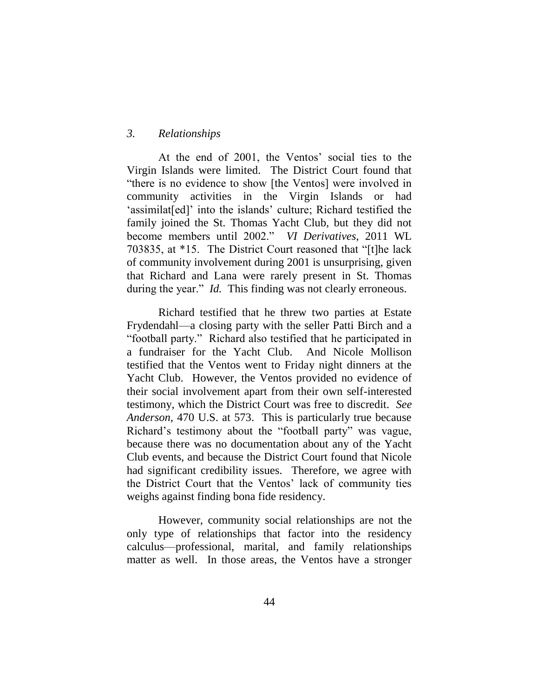## *3. Relationships*

At the end of 2001, the Ventos' social ties to the Virgin Islands were limited. The District Court found that "there is no evidence to show [the Ventos] were involved in community activities in the Virgin Islands or had 'assimilat [ed]' into the islands' culture; Richard testified the family joined the St. Thomas Yacht Club, but they did not become members until 2002.‖ *VI Derivatives*, 2011 WL 703835, at \*15. The District Court reasoned that "[t]he lack of community involvement during 2001 is unsurprising, given that Richard and Lana were rarely present in St. Thomas during the year." *Id.* This finding was not clearly erroneous.

Richard testified that he threw two parties at Estate Frydendahl—a closing party with the seller Patti Birch and a "football party." Richard also testified that he participated in a fundraiser for the Yacht Club. And Nicole Mollison testified that the Ventos went to Friday night dinners at the Yacht Club. However, the Ventos provided no evidence of their social involvement apart from their own self-interested testimony, which the District Court was free to discredit. *See Anderson*, 470 U.S. at 573. This is particularly true because Richard's testimony about the "football party" was vague, because there was no documentation about any of the Yacht Club events, and because the District Court found that Nicole had significant credibility issues. Therefore, we agree with the District Court that the Ventos' lack of community ties weighs against finding bona fide residency.

However, community social relationships are not the only type of relationships that factor into the residency calculus—professional, marital, and family relationships matter as well. In those areas, the Ventos have a stronger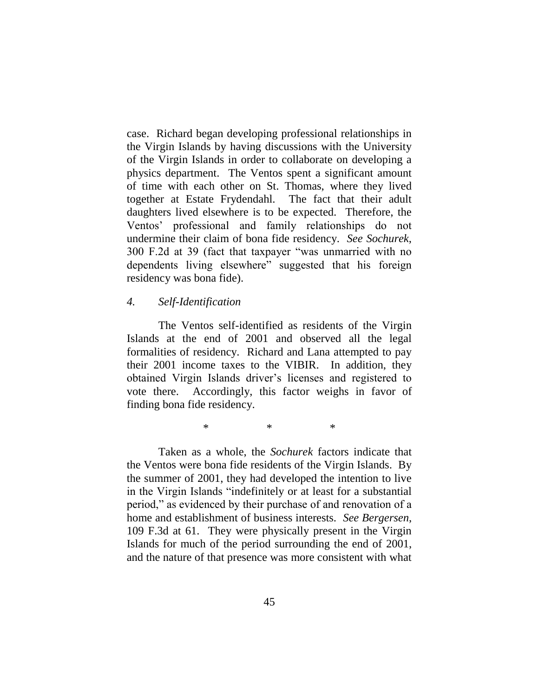case. Richard began developing professional relationships in the Virgin Islands by having discussions with the University of the Virgin Islands in order to collaborate on developing a physics department. The Ventos spent a significant amount of time with each other on St. Thomas, where they lived together at Estate Frydendahl. The fact that their adult daughters lived elsewhere is to be expected. Therefore, the Ventos' professional and family relationships do not undermine their claim of bona fide residency. *See Sochurek*, 300 F.2d at 39 (fact that taxpayer "was unmarried with no dependents living elsewhere" suggested that his foreign residency was bona fide).

## *4. Self-Identification*

The Ventos self-identified as residents of the Virgin Islands at the end of 2001 and observed all the legal formalities of residency. Richard and Lana attempted to pay their 2001 income taxes to the VIBIR. In addition, they obtained Virgin Islands driver's licenses and registered to vote there. Accordingly, this factor weighs in favor of finding bona fide residency.

\* \* \*

Taken as a whole, the *Sochurek* factors indicate that the Ventos were bona fide residents of the Virgin Islands. By the summer of 2001, they had developed the intention to live in the Virgin Islands "indefinitely or at least for a substantial period," as evidenced by their purchase of and renovation of a home and establishment of business interests. *See Bergersen*, 109 F.3d at 61. They were physically present in the Virgin Islands for much of the period surrounding the end of 2001, and the nature of that presence was more consistent with what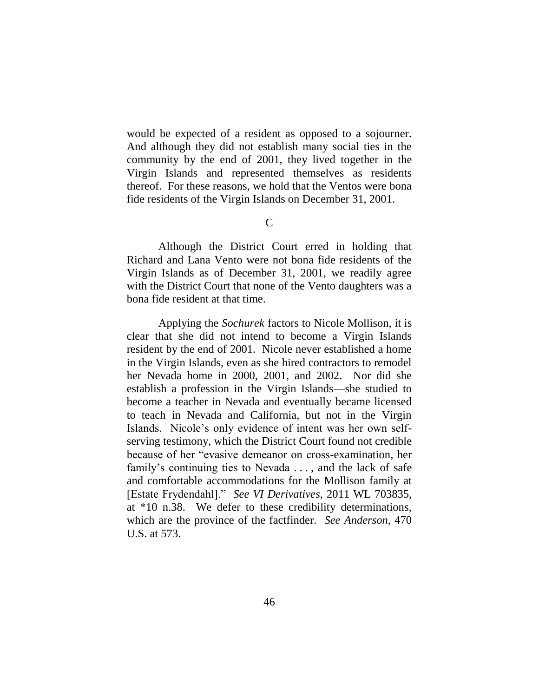would be expected of a resident as opposed to a sojourner. And although they did not establish many social ties in the community by the end of 2001, they lived together in the Virgin Islands and represented themselves as residents thereof. For these reasons, we hold that the Ventos were bona fide residents of the Virgin Islands on December 31, 2001.

C

Although the District Court erred in holding that Richard and Lana Vento were not bona fide residents of the Virgin Islands as of December 31, 2001, we readily agree with the District Court that none of the Vento daughters was a bona fide resident at that time.

Applying the *Sochurek* factors to Nicole Mollison, it is clear that she did not intend to become a Virgin Islands resident by the end of 2001. Nicole never established a home in the Virgin Islands, even as she hired contractors to remodel her Nevada home in 2000, 2001, and 2002. Nor did she establish a profession in the Virgin Islands—she studied to become a teacher in Nevada and eventually became licensed to teach in Nevada and California, but not in the Virgin Islands. Nicole's only evidence of intent was her own selfserving testimony, which the District Court found not credible because of her "evasive demeanor on cross-examination, her family's continuing ties to Nevada ..., and the lack of safe and comfortable accommodations for the Mollison family at [Estate Frydendahl].‖ *See VI Derivatives*, 2011 WL 703835, at \*10 n.38. We defer to these credibility determinations, which are the province of the factfinder. *See Anderson*, 470 U.S. at 573.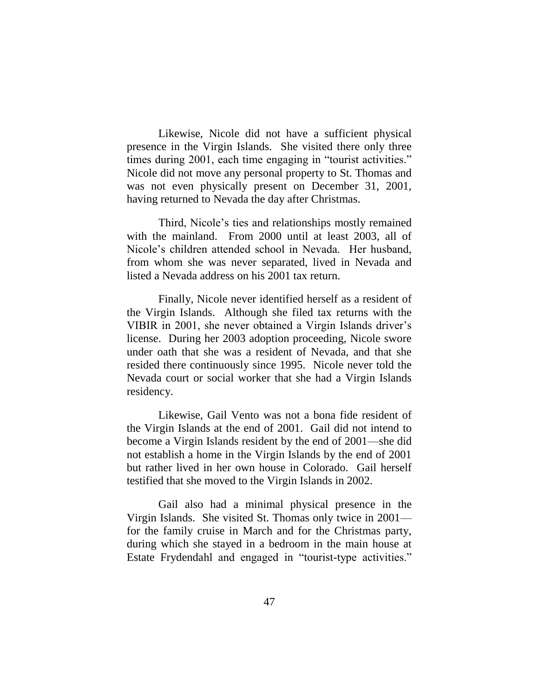Likewise, Nicole did not have a sufficient physical presence in the Virgin Islands. She visited there only three times during 2001, each time engaging in "tourist activities." Nicole did not move any personal property to St. Thomas and was not even physically present on December 31, 2001, having returned to Nevada the day after Christmas.

Third, Nicole's ties and relationships mostly remained with the mainland. From 2000 until at least 2003, all of Nicole's children attended school in Nevada. Her husband, from whom she was never separated, lived in Nevada and listed a Nevada address on his 2001 tax return.

Finally, Nicole never identified herself as a resident of the Virgin Islands. Although she filed tax returns with the VIBIR in 2001, she never obtained a Virgin Islands driver's license. During her 2003 adoption proceeding, Nicole swore under oath that she was a resident of Nevada, and that she resided there continuously since 1995. Nicole never told the Nevada court or social worker that she had a Virgin Islands residency.

Likewise, Gail Vento was not a bona fide resident of the Virgin Islands at the end of 2001. Gail did not intend to become a Virgin Islands resident by the end of 2001—she did not establish a home in the Virgin Islands by the end of 2001 but rather lived in her own house in Colorado. Gail herself testified that she moved to the Virgin Islands in 2002.

Gail also had a minimal physical presence in the Virgin Islands. She visited St. Thomas only twice in 2001 for the family cruise in March and for the Christmas party, during which she stayed in a bedroom in the main house at Estate Frydendahl and engaged in "tourist-type activities."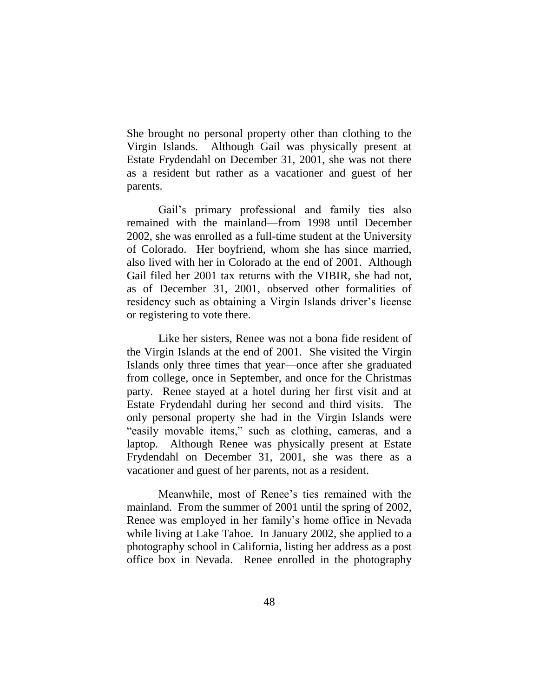She brought no personal property other than clothing to the Virgin Islands. Although Gail was physically present at Estate Frydendahl on December 31, 2001, she was not there as a resident but rather as a vacationer and guest of her parents.

Gail's primary professional and family ties also remained with the mainland—from 1998 until December 2002, she was enrolled as a full-time student at the University of Colorado. Her boyfriend, whom she has since married, also lived with her in Colorado at the end of 2001. Although Gail filed her 2001 tax returns with the VIBIR, she had not, as of December 31, 2001, observed other formalities of residency such as obtaining a Virgin Islands driver's license or registering to vote there.

Like her sisters, Renee was not a bona fide resident of the Virgin Islands at the end of 2001. She visited the Virgin Islands only three times that year—once after she graduated from college, once in September, and once for the Christmas party. Renee stayed at a hotel during her first visit and at Estate Frydendahl during her second and third visits. The only personal property she had in the Virgin Islands were "easily movable items," such as clothing, cameras, and a laptop. Although Renee was physically present at Estate Frydendahl on December 31, 2001, she was there as a vacationer and guest of her parents, not as a resident.

Meanwhile, most of Renee's ties remained with the mainland. From the summer of 2001 until the spring of 2002, Renee was employed in her family's home office in Nevada while living at Lake Tahoe. In January 2002, she applied to a photography school in California, listing her address as a post office box in Nevada. Renee enrolled in the photography